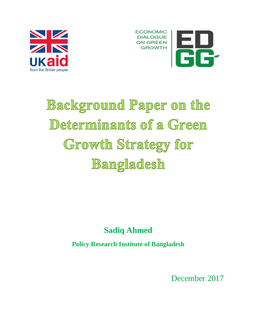



# **Background Paper on the** Determinants of a Green Growth Strategy for Bangladesh

# **Sadiq Ahmed**

**Policy Research Institute of Bangladesh**

December 2017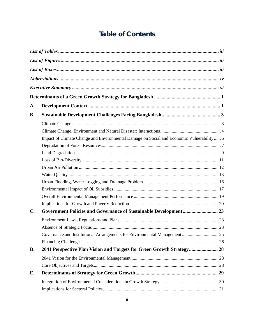# **Table of Contents**

| A.             |                                                                                           |  |
|----------------|-------------------------------------------------------------------------------------------|--|
| <b>B.</b>      |                                                                                           |  |
|                |                                                                                           |  |
|                |                                                                                           |  |
|                | Impact of Climate Change and Environmental Damage on Social and Economic Vulnerability  6 |  |
|                |                                                                                           |  |
|                |                                                                                           |  |
|                |                                                                                           |  |
|                |                                                                                           |  |
|                |                                                                                           |  |
|                |                                                                                           |  |
|                |                                                                                           |  |
|                |                                                                                           |  |
|                |                                                                                           |  |
| $\mathbf{C}$ . |                                                                                           |  |
|                |                                                                                           |  |
|                |                                                                                           |  |
|                |                                                                                           |  |
|                |                                                                                           |  |
| D.             | 2041 Perspective Plan Vision and Targets for Green Growth Strategy 28                     |  |
|                |                                                                                           |  |
|                |                                                                                           |  |
| E.             |                                                                                           |  |
|                |                                                                                           |  |
|                |                                                                                           |  |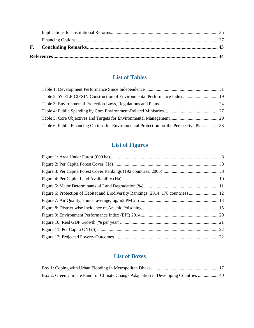# **List of Tables**

<span id="page-2-0"></span>

| Table 2: YCELP-CIESIN Construction of Environmental Performance Index 19                   |  |
|--------------------------------------------------------------------------------------------|--|
|                                                                                            |  |
|                                                                                            |  |
|                                                                                            |  |
| Table 6: Public Financing Options for Environmental Protection for the Perspective Plan 38 |  |

# **List of Figures**

<span id="page-2-1"></span>

# **List of Boxes**

<span id="page-2-2"></span>

| Box 2: Green Climate Fund for Climate Change Adaptation in Developing Countries  40 |  |
|-------------------------------------------------------------------------------------|--|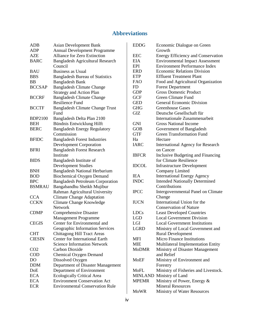# **Abbreviations**

<span id="page-3-0"></span>

| <b>ADB</b>      | <b>Asian Development Bank</b>                                  |  |  |
|-----------------|----------------------------------------------------------------|--|--|
| <b>ADP</b>      | <b>Annual Development Programme</b>                            |  |  |
| <b>AZE</b>      | Alliance for Zero Extinction                                   |  |  |
| <b>BARC</b>     | Bangladesh Agricultural Research                               |  |  |
|                 | Council                                                        |  |  |
| <b>BAU</b>      | Business as Usual                                              |  |  |
| <b>BBS</b>      | <b>Bangladesh Bureau of Statistics</b>                         |  |  |
| BB              | <b>Bangladesh Bank</b>                                         |  |  |
| <b>BCCSAP</b>   | <b>Bangladesh Climate Change</b>                               |  |  |
|                 | <b>Strategy and Action Plan</b>                                |  |  |
| <b>BCCRF</b>    | <b>Bangladesh Climate Change</b>                               |  |  |
|                 | <b>Resilience Fund</b>                                         |  |  |
| <b>BCCTF</b>    | <b>Bangladesh Climate Change Trust</b>                         |  |  |
|                 | Fund                                                           |  |  |
| <b>BDP2100</b>  | Bangladesh Delta Plan 2100                                     |  |  |
| <b>BEH</b>      | Bündnis Entwicklung Hilft                                      |  |  |
| <b>BERC</b>     | <b>Bangladesh Energy Regulatory</b>                            |  |  |
|                 | Commission                                                     |  |  |
| <b>BFIDC</b>    | <b>Bangladesh Forest Industries</b>                            |  |  |
|                 | <b>Development Corporation</b>                                 |  |  |
| <b>BFRI</b>     | <b>Bangladesh Forest Research</b>                              |  |  |
|                 | Institute                                                      |  |  |
| <b>BIDS</b>     | Bangladesh Institute of                                        |  |  |
|                 | <b>Development Studies</b>                                     |  |  |
| <b>BNH</b>      | <b>Bangladesh National Herbarium</b>                           |  |  |
| <b>BOD</b>      | <b>Biochemical Oxygen Demand</b>                               |  |  |
| <b>BPC</b>      | <b>Bangladesh Petroleum Corporation</b>                        |  |  |
| <b>BSMRAU</b>   | Bangabandhu Sheikh Mujibur                                     |  |  |
|                 | Rahman Agricultural University                                 |  |  |
| <b>CCA</b>      | <b>Climate Change Adaptation</b>                               |  |  |
| <b>CCKN</b>     | Climate Change Knowledge<br><b>Network</b>                     |  |  |
| <b>CDMP</b>     |                                                                |  |  |
|                 | <b>Comprehensive Disaster</b><br><b>Management Programme</b>   |  |  |
| <b>CEGIS</b>    | Center for Environmental and                                   |  |  |
|                 | Geographic Information Services                                |  |  |
| <b>CHT</b>      | <b>Chittagong Hill Tract Areas</b>                             |  |  |
| <b>CIESIN</b>   | <b>Center for International Earth</b>                          |  |  |
|                 | <b>Science Information Network</b>                             |  |  |
| CO <sub>2</sub> | <b>Carbon Dioxide</b>                                          |  |  |
| <b>COD</b>      | <b>Chemical Oxygen Demand</b>                                  |  |  |
| <b>DO</b>       | Dissolved Oxygen                                               |  |  |
| <b>DDM</b>      |                                                                |  |  |
| DoE             | Department of Disaster Management                              |  |  |
| <b>ECA</b>      | Department of Environment<br><b>Ecologically Critical Area</b> |  |  |
| <b>ECA</b>      | <b>Environment Conservation Act</b>                            |  |  |
| <b>ECR</b>      | <b>Environmental Conservation Rule</b>                         |  |  |
|                 |                                                                |  |  |

| <b>EDDG</b>  | Economic Dialogue on Green<br>Growth      |
|--------------|-------------------------------------------|
| <b>EEC</b>   | <b>Energy Efficiency and Conservation</b> |
| EIA          | <b>Environmental Impact Assessment</b>    |
| EPI          | <b>Environment Performance Index</b>      |
| <b>ERD</b>   | <b>Economic Relations Division</b>        |
| ETP          | <b>Effluent Treatment Plant</b>           |
| <b>FAO</b>   | Food and Agricultural Organization        |
| <b>FD</b>    | <b>Forest Department</b>                  |
| <b>GDP</b>   | <b>Gross Domestic Product</b>             |
| <b>GCF</b>   | <b>Green Climate Fund</b>                 |
| <b>GED</b>   | <b>General Economic Division</b>          |
|              |                                           |
| <b>GHG</b>   | <b>Greenhouse Gases</b>                   |
| GIZ          | Deutsche Gesellschaft für                 |
|              | Internationale Zusammenarbeit             |
| <b>GNI</b>   | <b>Gross National Income</b>              |
| <b>GOB</b>   | Government of Bangladesh                  |
| <b>GTF</b>   | <b>Green Transformation Fund</b>          |
| Ha           | Hectare                                   |
| <b>IARC</b>  | <b>International Agency for Research</b>  |
|              | on Cancer                                 |
| <b>IBFCR</b> | Inclusive Budgeting and Financing         |
|              | for Climate Resilience                    |
| <b>IDCOL</b> | <b>Infrastructure Development</b>         |
|              | Company Limited                           |
| <b>IEA</b>   | <b>International Energy Agency</b>        |
| <b>INDC</b>  | <b>Intended Nationally Determined</b>     |
|              | Contributions                             |
| <b>IPCC</b>  | Intergovernmental Panel on Climate        |
|              | Change                                    |
| <b>IUCN</b>  | International Union for the               |
|              | <b>Conservation of Nature</b>             |
| <b>LDCs</b>  | <b>Least Developed Countries</b>          |
| <b>LGD</b>   | <b>Local Government Division</b>          |
| LGI          | <b>Local Government Institutions</b>      |
| <b>LGRD</b>  | Ministry of Local Government and          |
|              | <b>Rural Development</b>                  |
| MFI          | Micro Finance Institutions                |
| MIE          | Multilateral Implementation Entity        |
| <b>MoDMR</b> | Ministry of Disaster Management           |
|              | and Relief                                |
| <b>MoEF</b>  | Ministry of Environment and               |
|              | Forestry                                  |
|              |                                           |
| MoFL         | Ministry of Fisheries and Livestock.      |
|              | MINLAND Ministry of Land                  |
| <b>MPEMR</b> | Ministry of Power, Energy &               |
|              | <b>Mineral Resources</b>                  |
| <b>MoWR</b>  | Ministry of Water Resources               |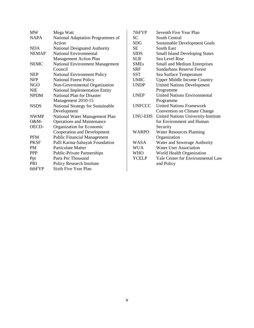| <b>MW</b>    | Mega Watt                              |  |
|--------------|----------------------------------------|--|
| <b>NAPA</b>  | National Adaptation Programmes of      |  |
|              | Action                                 |  |
| <b>NDA</b>   | <b>National Designated Authority</b>   |  |
| <b>NEMAP</b> | National Environmental                 |  |
|              | <b>Management Action Plan</b>          |  |
| <b>NEMC</b>  | <b>National Environment Management</b> |  |
|              | Council                                |  |
| <b>NEP</b>   | <b>National Environment Policy</b>     |  |
| <b>NFP</b>   | <b>National Forest Policy</b>          |  |
| NGO          | Non-Governmental Organization          |  |
| <b>NIE</b>   | National Implementation Entity         |  |
| <b>NPDM</b>  | National Plan for Disaster             |  |
|              | Management 2010-15                     |  |
| <b>NSDS</b>  | National Strategy for Sustainable      |  |
|              | Development                            |  |
| <b>NWMP</b>  | National Water Management Plan         |  |
| O&M-         | <b>Operations and Maintenance</b>      |  |
| OECD-        | Organization for Economic              |  |
|              | <b>Cooperation and Development</b>     |  |
| <b>PFM</b>   | <b>Public Financial Management</b>     |  |
| <b>PKSF</b>  | Palli Karma-Sahayak Foundation         |  |
| <b>PM</b>    | <b>Particulate Matter</b>              |  |
| <b>PPP</b>   | <b>Public-Private Partnerships</b>     |  |
| Ppt          | Parts Per Thousand                     |  |
| <b>PRI</b>   | Policy Research Institute              |  |
| 6thFYP       | Sixth Five Year Plan                   |  |

| 7thFYP         | Seventh Five Year Plan                |
|----------------|---------------------------------------|
| SС             | South Central                         |
| <b>SDG</b>     | <b>Sustainable Development Goals</b>  |
| SЕ             | South East                            |
| <b>SIDS</b>    | <b>Small Island Developing States</b> |
| <b>SLR</b>     | Sea Level Rise                        |
| <b>SMEs</b>    | Small and Medium Enterprises          |
| <b>SRF</b>     | <b>Sundarbans Reserve Forest</b>      |
| <b>SST</b>     | Sea Surface Temperature               |
| <b>UMIC</b>    | <b>Upper Middle Income Country</b>    |
| <b>UNDP</b>    | <b>United Nations Development</b>     |
|                | Programme                             |
| <b>UNEP</b>    | <b>United Nations Environmental</b>   |
|                | Programme                             |
| <b>UNFCCC</b>  | <b>United Nations Framework</b>       |
|                | <b>Convention on Climate Change</b>   |
| <b>UNU-EHS</b> | United Nations University-Institute   |
|                | for Environment and Human             |
|                | Security                              |
| <b>WARPO</b>   | <b>Water Resources Planning</b>       |
|                | Organization                          |
| <b>WASA</b>    | Water and Sewerage Authority          |
| <b>WUA</b>     | <b>Water User Association</b>         |
| <b>WHO</b>     | World Health Organization             |
| <b>YCELP</b>   | Yale Center for Environmental Law     |
|                | and Policy                            |
|                |                                       |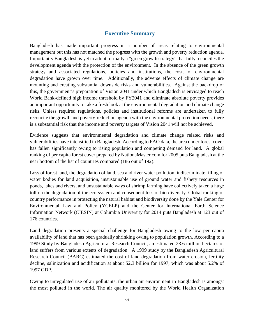### **Executive Summary**

<span id="page-5-0"></span>Bangladesh has made important progress in a number of areas relating to environmental management but this has not matched the progress with the growth and poverty reduction agenda. Importantly Bangladesh is yet to adopt formally a "green growth strategy" that fully reconciles the development agenda with the protection of the environment. In the absence of the green growth strategy and associated regulations, policies and institutions, the costs of environmental degradation have grown over time. Additionally, the adverse effects of climate change are mounting and creating substantial downside risks and vulnerabilities. Against the backdrop of this, the government's preparation of Vision 2041 under which Bangladesh is envisaged to reach World Bank-defined high income threshold by FY2041 and eliminate absolute poverty provides an important opportunity to take a fresh look at the environmental degradation and climate change risks. Unless required regulations, policies and institutional reforms are undertaken to fully reconcile the growth and poverty-reduction agenda with the environmental protection needs, there is a substantial risk that the income and poverty targets of Vision 2041 will not be achieved.

Evidence suggests that environmental degradation and climate change related risks and vulnerabilities have intensified in Bangladesh. According to FAO data, the area under forest cover has fallen significantly owing to rising population and competing demand for land. A global ranking of per capita forest cover prepared by NationaMaster.com for 2005 puts Bangladesh at the near bottom of the list of countries compared (186 out of 192).

Loss of forest land, the degradation of land, sea and river water pollution, indiscriminate filling of water bodies for land acquisition, unsustainable use of ground water and fishery resources in ponds, lakes and rivers, and unsustainable ways of shrimp farming have collectively taken a huge toll on the degradation of the eco-system and consequent loss of bio-diversity. Global ranking of country performance in protecting the natural habitat and biodiversity done by the Yale Center for Environmental Law and Policy (YCELP) and the Center for International Earth Science Information Network (CIESIN) at Columbia University for 2014 puts Bangladesh at 123 out of 176 countries.

Land degradation presents a special challenge for Bangladesh owing to the low per capita availability of land that has been gradually shrinking owing to population growth. According to a 1999 Study by Bangladesh Agricultural Research Council, an estimated 23.6 million hectares of land suffers from various extents of degradation. A 1999 study by the Bangladesh Agricultural Research Council (BARC) estimated the cost of land degradation from water erosion, fertility decline, salinization and acidification at about \$2.3 billion for 1997, which was about 5.2% of 1997 GDP.

Owing to unregulated use of air pollutants, the urban air environment in Bangladesh is amongst the most polluted in the world. The air quality monitored by the World Health Organization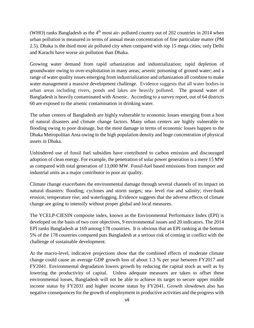(WHO) ranks Bangladesh as the  $4<sup>th</sup>$  most air- polluted country out of 202 countries in 2014 when urban pollution is measured in terms of annual mean concentration of fine particulate matter (PM 2.5). Dhaka is the third most air polluted city when compared with top 15 mega cities; only Delhi and Karachi have worse air pollution than Dhaka.

Growing water demand from rapid urbanization and industrialization; rapid depletion of groundwater owing to over-exploitation in many areas; arsenic poisoning of ground water; and a range of water quality issues emerging from industrialization and urbanization all combine to make water management a massive development challenge. Evidence suggests that all water bodies in urban areas including rivers, ponds and lakes are heavily polluted. The ground water of Bangladesh is heavily contaminated with Arsenic. According to a survey report, out of 64 districts 60 are exposed to the arsenic contamination in drinking water.

The urban centers of Bangladesh are highly vulnerable to economic losses emerging from a host of natural disasters and climate change factors. Many urban centers are highly vulnerable to flooding owing to poor drainage, but the most damage in terms of economic losses happen to the Dhaka Metropolitan Area owing to the high population density and huge concentration of physical assets in Dhaka.

Unhindered use of fossil fuel subsidies have contributed to carbon emission and discouraged adoption of clean energy. For example, the penetration of solar power generation is a mere 15 MW as compared with total generation of 13,000 MW. Fossil-fuel based emissions from transport and industrial units as a major contributor to poor air quality.

Climate change exacerbates the environmental damage through several channels of its impact on natural disasters: flooding; cyclones and storm surges; sea- level rise and salinity; river-bank erosion; temperature rise; and waterlogging. Evidence suggests that the adverse effects of climate change are going to intensify without proper global and local measures.

The YCELP-CIESIN composite index, known as the Environmental Performance Index (EPI) is developed on the basis of two core objectives, 9 environmental issues and 20 indicators. The 2014 EPI ranks Bangladesh at 169 among 178 countries. It is obvious that an EPI ranking at the bottom 5% of the 178 countries compared puts Bangladesh at a serious risk of coming in conflict with the challenge of sustainable development.

At the macro-level, indicative projections show that the combined effects of moderate climate change could cause an average GDP growth loss of about 1.3 % per year between FY2017 and FY2041. Environmental degradation lowers growth by reducing the capital stock as well as by lowering the productivity of capital. Unless adequate measures are taken to offset these environmental losses, Bangladesh will not be able to achieve its target to secure upper middle income status by FY2031 and higher income status by FY2041. Growth slowdown also has negative consequences for the growth of employment in productive activities and the progress with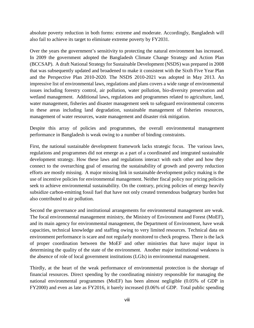absolute poverty reduction in both forms: extreme and moderate. Accordingly, Bangladesh will also fail to achieve its target to eliminate extreme poverty by FY2031.

Over the years the government's sensitivity to protecting the natural environment has increased. In 2009 the government adopted the Bangladesh Climate Change Strategy and Action Plan (BCCSAP). A draft National Strategy for Sustainable Development (NSDS) was prepared in 2008 that was subsequently updated and broadened to make it consistent with the Sixth Five Year Plan and the Perspective Plan 2010-2020. The NSDS 2010-2021 was adopted in May 2013. An impressive list of environmental laws, regulations and plans covers a wide range of environmental issues including forestry control, air pollution, water pollution, bio-diversity preservation and wetland management. Additional laws, regulations and programmes related to agriculture, land, water management, fisheries and disaster management seek to safeguard environmental concerns in these areas including land degradation, sustainable management of fisheries resources, management of water resources, waste management and disaster risk mitigation.

Despite this array of policies and programmes, the overall environmental management performance in Bangladesh is weak owing to a number of binding constraints.

First, the national sustainable development framework lacks strategic focus. The various laws, regulations and programmes did not emerge as a part of a coordinated and integrated sustainable development strategy. How these laws and regulations interact with each other and how they connect to the overarching goal of ensuring the sustainability of growth and poverty reduction efforts are mostly missing. A major missing link in sustainable development policy making is the use of incentive policies for environmental management. Neither fiscal policy nor pricing policies seek to achieve environmental sustainability. On the contrary, pricing policies of energy heavily subsidize carbon-emitting fossil fuel that have not only created tremendous budgetary burden but also contributed to air pollution.

Second the governance and institutional arrangements for environmental management are weak. The focal environmental management ministry, the Ministry of Environment and Forest (MoEF), and its main agency for environmental management, the Department of Environment, have weak capacities, technical knowledge and staffing owing to very limited resources. Technical data on environment performance is scare and not regularly monitored to check progress. There is the lack of proper coordination between the MoEF and other ministries that have major input in determining the quality of the state of the environment. Another major institutional weakness is the absence of role of local government institutions (LGIs) in environmental management.

Thirdly, at the heart of the weak performance of environmental protection is the shortage of financial resources. Direct spending by the coordinating ministry responsible for managing the national environmental programmes (MoEF) has been almost negligible (0.05% of GDP in FY2000) and even as late as FY2016, it barely increased (0.06% of GDP. Total public spending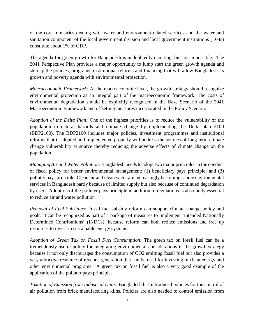of the core ministries dealing with water and environment-related services and the water and sanitation component of the local government division and local government institutions (LGIs) constitute about 1% of GDP.

The agenda for green growth for Bangladesh is undoubtedly daunting, but not impossible. The 2041 Perspective Plan provides a major opportunity to jump start the green growth agenda and step up the policies, programs, institutional reforms and financing that will allow Bangladesh its growth and poverty agenda with environmental protection.

*Macroeconomic Framework:* At the macroeconomic level, the growth strategy should recognize environmental protection as an integral part of the macroeconomic framework. The costs of environmental degradation should be explicitly recognised in the Base Scenario of the 2041 Macroeconomic Framework and offsetting measures incorporated in the Policy Scenario.

*Adoption of the Delta Plan:* One of the highest priorities is to reduce the vulnerability of the population to natural hazards and climate change by implementing the Delta plan 2100 (BDP2100). The BDP2100 includes major policies, investment programmes and institutional reforms that if adopted and implemented properly will address the sources of long-term climate change vulnerability at source thereby reducing the adverse effects of climate change on the population.

*Managing Air and Water Pollution:* Bangladesh needs to adopt two major principles in the conduct of fiscal policy for better environmental management: (1) beneficiary pays principle; and (2) polluter pays principle. Clean air and clean water are increasingly becoming scarce environmental services in Bangladesh partly because of limited supply but also because of continued degradation by users. Adoption of the polluter pays principle in addition to regulations is absolutely essential to reduce air and water pollution

*Removal of Fuel Subsidies:* Fossil fuel subsidy reform can support climate change policy and goals*.* It can be recognized as part of a package of measures to implement 'Intended Nationally Determined Contributions' (INDCs), because reform can both reduce emissions and free up resources to invest in sustainable energy systems.

*Adoption of Green Tax on Fossil Fuel Consumption:* The green tax on fossil fuel can be a tremendously useful policy for integrating environmental considerations in the growth strategy because it not only discourages the consumption of CO2 emitting fossil fuel but also provides a very attractive resource of revenue generation that can be used for investing in clean energy and other environmental programs. A green tax on fossil fuel is also a very good example of the application of the polluter pays principle.

*Taxation of Emission from Industrial Units:* Bangladesh has introduced policies for the control of air pollution from brick manufacturing kilns. Policies are also needed to control emission from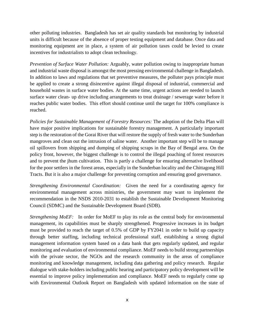other polluting industries. Bangladesh has set air quality standards but monitoring by industrial units is difficult because of the absence of proper testing equipment and database. Once data and monitoring equipment are in place, a system of air pollution taxes could be levied to create incentives for industrialists to adopt clean technology.

*Prevention of Surface Water Pollution:* Arguably, water pollution owing to inappropriate human and industrial waste disposal is amongst the most pressing environmental challenge in Bangladesh. In addition to laws and regulations that set preventive measures, the polluter pays principle must be applied to create a strong disincentive against illegal disposal of industrial, commercial and household wastes in surface water bodies. At the same time, urgent actions are needed to launch surface water clean- up drive including arrangements to treat drainage / sewerage water before it reaches public water bodies. This effort should continue until the target for 100% compliance is reached.

*Policies for Sustainable Management of Forestry Resources:* The adoption of the Delta Plan will have major positive implications for sustainable forestry management. A particularly important step is the restoration of the Gorai River that will restore the supply of fresh water to the Sunderban mangroves and clean out the intrusion of saline water. Another important step will be to manage oil spillovers from shipping and dumping of shipping scraps in the Bay of Bengal area. On the policy front, however, the biggest challenge is to control the illegal poaching of forest resources and to prevent the jhum cultivation. This is partly a challenge for ensuring alternative livelihood for the poor settlers in the forest areas, especially in the Sunderban locality and the Chittagong Hill Tracts. But it is also a major challenge for preventing corruption and ensuring good governance.

*Strengthening Environmental Coordination:* Given the need for a coordinating agency for environmental management across ministries, the government may want to implement the recommendation in the NSDS 2010-2031 to establish the Sustainable Development Monitoring Council (SDMC) and the Sustainable Development Board (SDB).

*Strengthening MoEF:* In order for MoEF to play its role as the central body for environmental management, its capabilities must be sharply strengthened. Progressive increases in its budget must be provided to reach the target of 0.5% of GDP by FY2041 in order to build up capacity through better staffing, including technical professional staff, establishing a strong digital management information system based on a data bank that gets regularly updated, and regular monitoring and evaluation of environmental compliance. MoEF needs to build strong partnerships with the private sector, the NGOs and the research community in the areas of compliance monitoring and knowledge management, including data gathering and policy research. Regular dialogue with stake-holders including public hearing and participatory policy development will be essential to improve policy implementation and compliance. MoEF needs to regularly come up with Environmental Outlook Report on Bangladesh with updated information on the state of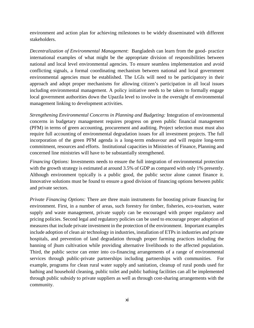environment and action plan for achieving milestones to be widely disseminated with different stakeholders.

*Decentralization of Environmental Management*: Bangladesh can learn from the good- practice international examples of what might be the appropriate division of responsibilities between national and local level environmental agencies. To ensure seamless implementation and avoid conflicting signals, a formal coordinating mechanism between national and local government environmental agencies must be established. The LGIs will need to be participatory in their approach and adopt proper mechanisms for allowing citizen's participation in all local issues including environmental management. A policy initiative needs to be taken to formally engage local government authorities down the Upazila level to involve in the oversight of environmental management linking to development activities.

*Strengthening Environmental Concerns in Planning and Budgeting:* Integration of environmental concerns in budgetary management requires progress on green public financial management (PFM) in terms of green accounting, procurement and auditing. Project selection must must also require full accounting of environmental degradation issues for all investment projects. The full incorporation of the green PFM agenda is a long-term endeavour and will require long-term commitment, resources and efforts. Institutional capacities in Ministries of Finance, Planning and concerned line ministries will have to be substantially strengthened.

*Financing Options:* Investments needs to ensure the full integration of environmental protection with the growth strategy is estimated at around 3.5% of GDP as compared with only 1% presently. Although environment typically is a public good, the public sector alone cannot finance it. Innovative solutions must be found to ensure a good division of financing options between public and private sectors.

*Private Financing Options:* There are three main instruments for boosting private financing for environment. First, in a number of areas, such forestry for timber, fisheries, eco-tourism, water supply and waste management, private supply can be encouraged with proper regulatory and pricing policies. Second legal and regulatory policies can be used to encourage proper adoption of measures that include private investment in the protection of the environment. Important examples include adoption of clean air technology in industries, installation of ETPs in industries and private hospitals, and prevention of land degradation through proper farming practices including the banning of jhum cultivation while providing alternative livelihoods to the affected population. Third, the public sector can enter into co-financing arrangements of a range of environmental services through public-private partnerships including partnerships with communities. For example, programs for clean rural water supply and sanitation, cleanup of rural ponds used for bathing and household cleaning, public toilet and public bathing facilities can all be implemented through public subsidy to private suppliers as well as through cost-sharing arrangements with the community.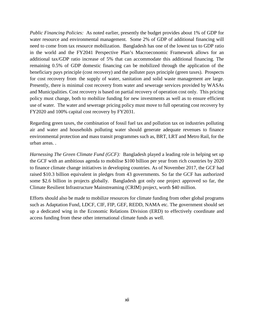*Public Financing Policies:* As noted earlier, presently the budget provides about 1% of GDP for water resource and environmental management. Some 2% of GDP of additional financing will need to come from tax resource mobilization. Bangladesh has one of the lowest tax to GDP ratio in the world and the FY2041 Perspective Plan's Macroeconomic Framework allows for an additional tax/GDP ratio increase of 5% that can accommodate this additional financing. The remaining 0.5% of GDP domestic financing can be mobilized through the application of the beneficiary pays principle (cost recovery) and the polluter pays principle (green taxes). Prospects for cost recovery from the supply of water, sanitation and solid waste management are large. Presently, there is minimal cost recovery from water and sewerage services provided by WASAs and Municipalities. Cost recovery is based on partial recovery of operation cost only. This pricing policy must change, both to mobilize funding for new investments as well as to ensure efficient use of water. The water and sewerage pricing policy must move to full operating cost recovery by FY2020 and 100% capital cost recovery by FY2031.

Regarding green taxes, the combination of fossil fuel tax and pollution tax on industries polluting air and water and households polluting water should generate adequate revenues to finance environmental protection and mass transit programmes such as, BRT, LRT and Metro Rail, for the urban areas. .

*Harnessing The Green Climate Fund (GCF)*: Bangladesh played a leading role in helping set up the GCF with an ambitious agenda to mobilise \$100 billion per year from rich countries by 2020 to finance climate change initiatives in developing countries. As of November 2017, the GCF had raised \$10.3 billion equivalent in pledges from 43 governments. So far the GCF has authorized some \$2.6 billion in projects globally. Bangladesh got only one project approved so far, the Climate Resilient Infrastructure Mainstreaming (CRIM) project, worth \$40 million.

Efforts should also be made to mobilize resources for climate funding from other global programs such as Adaptation Fund, LDCF, CIF, FIP, GEF, REDD, NAMA etc. The government should set up a dedicated wing in the Economic Relations Division (ERD) to effectively coordinate and access funding from these other international climate funds as well.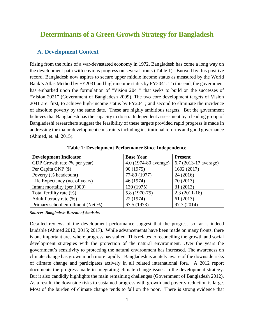# <span id="page-12-0"></span>**Determinants of a Green Growth Strategy for Bangladesh**

#### <span id="page-12-1"></span>**A. Development Context**

Rising from the ruins of a war-devastated economy in 1972, Bangladesh has come a long way on the development path with envious progress on several fronts (Table 1). Buoyed by this positive record, Bangladesh now aspires to secure upper middle income status as measured by the World Bank's Atlas Method by FY2031 and high-income status by FY2041. To this end, the government has embarked upon the formulation of "Vision 2041" that seeks to build on the successes of "Vision 2021" (Government of Bangladesh 2009). The two core development targets of Vision 2041 are: first, to achieve high-income status by FY2041; and second to eliminate the incidence of absolute poverty by the same date. These are highly ambitious targets. But the government believes that Bangladesh has the capacity to do so. Independent assessment by a leading group of Bangladeshi researchers suggest the feasibility of these targets provided rapid progress is made in addressing the major development constraints including institutional reforms and good governance (Ahmed, et. al. 2015).

<span id="page-12-2"></span>

| <b>Development Indicator</b>      | <b>Base Year</b>      | <b>Present</b>           |
|-----------------------------------|-----------------------|--------------------------|
| GDP Growth rate (% per year)      | 4.0 (1974-80 average) | 6.7 $(2013-17)$ average) |
| Per Capita GNP (\$)               | 90 (1975)             | 1602 (2017)              |
| Poverty (% headcount)             | 77-80 (1977)          | 24(2016)                 |
| Life Expectancy (no. of years)    | 46 (1974)             | 70(2013)                 |
| Infant mortality (per 1000)       | 130 (1975)            | 31 (2013)                |
| Total fertility rate (%)          | 5.8 (1970-75)         | $2.3(2011-16)$           |
| Adult literacy rate (%)           | 22 (1974)             | 61(2013)                 |
| Primary school enrollment (Net %) | 67.5 (1973)           | 97.7 (2014)              |

**Table 1: Development Performance Since Independence**

*Source: Bangladesh Bureau of Statistics*

Detailed reviews of the development performance suggest that the progress so far is indeed laudable (Ahmed 2012; 2015; 2017). While advancements have been made on many fronts, there is one important area where progress has stalled. This relates to reconciling the growth and social development strategies with the protection of the natural environment. Over the years the government's sensitivity to protecting the natural environment has increased. The awareness on climate change has grown much more rapidly. Bangladesh is acutely aware of the downside risks of climate change and participates actively in all related international fora. A 2012 report documents the progress made in integrating climate change issues in the development strategy. But it also candidly highlights the main remaining challenges (Government of Bangladesh 2012). As a result, the downside risks to sustained progress with growth and poverty reduction is large. Most of the burden of climate change tends to fall on the poor. There is strong evidence that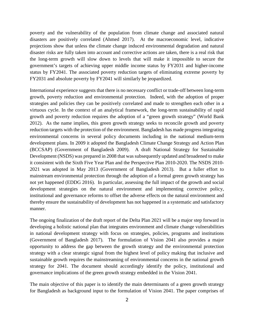poverty and the vulnerability of the population from climate change and associated natural disasters are positively correlated (Ahmed 2017). At the macroeconomic level, indicative projections show that unless the climate change induced environmental degradation and natural disaster risks are fully taken into account and corrective actions are taken, there is a real risk that the long-term growth will slow down to levels that will make it impossible to secure the government's targets of achieving upper middle income status by FY2031 and higher-income status by FY2041. The associated poverty reduction targets of eliminating extreme poverty by FY2031 and absolute poverty by FY2041 will similarly be jeopardized.

International experience suggests that there is no necessary conflict or trade-off between long-term growth, poverty reduction and environmental protection. Indeed, with the adoption of proper strategies and policies they can be positively correlated and made to strengthen each other in a virtuous cycle. In the context of an analytical framework, the long-term sustainability of rapid growth and poverty reduction requires the adoption of a "green growth strategy" (World Bank 2012). As the name implies, this green growth strategy seeks to reconcile growth and poverty reduction targets with the protection of the environment. Bangladesh has made progress integrating environmental concerns in several policy documents including in the national medium-term development plans. In 2009 it adopted the Bangladesh Climate Change Strategy and Action Plan (BCCSAP) (Government of Bangladesh 2009). A draft National Strategy for Sustainable Development (NSDS) was prepared in 2008 that was subsequently updated and broadened to make it consistent with the Sixth Five Year Plan and the Perspective Plan 2010-2020. The NSDS 2010- 2021 was adopted in May 2013 (Government of Bangladesh 2013). But a fuller effort to mainstream environmental protection through the adoption of a formal green growth strategy has not yet happened (EDDG 2016). In particular, assessing the full impact of the growth and social development strategies on the natural environment and implementing corrective policy, institutional and governance reforms to offset the adverse effects on the natural environment and thereby ensure the sustainability of development has not happened in a systematic and satisfactory manner.

The ongoing finalization of the draft report of the Delta Plan 2021 will be a major step forward in developing a holistic national plan that integrates environment and climate change vulnerabilities in national development strategy with focus on strategies, policies, programs and institutions (Government of Bangladesh 2017). The formulation of Vision 2041 also provides a major opportunity to address the gap between the growth strategy and the environmental protection strategy with a clear strategic signal from the highest level of policy making that inclusive and sustainable growth requires the mainstreaming of environmental concerns in the national growth strategy for 2041. The document should accordingly identify the policy, institutional and governance implications of the green growth strategy embedded in the Vision 2041.

The main objective of this paper is to identify the main determinants of a green growth strategy for Bangladesh as background input to the formulation of Vision 2041. The paper comprises of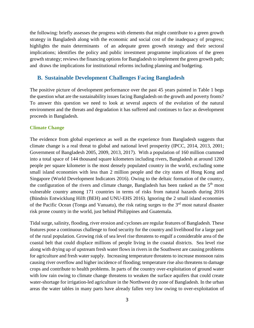the following: briefly assesses the progress with elements that might contribute to a green growth strategy in Bangladesh along with the economic and social cost of the inadequacy of progress; highlights the main determinants of an adequate green growth strategy and their sectoral implications; identifies the policy and public investment programme implications of the green growth strategy; reviews the financing options for Bangladesh to implement the green growth path; and draws the implications for institutional reforms including planning and budgeting.

#### <span id="page-14-0"></span>**B. Sustainable Development Challenges Facing Bangladesh**

The positive picture of development performance over the past 45 years painted in Table 1 begs the question what are the sustainability issues facing Bangladesh on the growth and poverty fronts? To answer this question we need to look at several aspects of the evolution of the natural environment and the threats and degradation it has suffered and continues to face as development proceeds in Bangladesh.

#### <span id="page-14-1"></span>**Climate Change**

The evidence from global experience as well as the experience from Bangladesh suggests that climate change is a real threat to global and national level prosperity (IPCC, 2014, 2013, 2001; Government of Bangladesh 2005, 2009, 2013, 2017). With a population of 160 million crammed into a total space of 144 thousand square kilometers including rivers, Bangladesh at around 1200 people per square kilometer is the most densely populated country in the world, excluding some small island economies with less than 2 million people and the city states of Hong Kong and Singapore (World Development Indicators 2016). Owing to the deltaic formation of the country, the configuration of the rivers and climate change, Bangladesh has been ranked as the  $5<sup>th</sup>$  most vulnerable country among 171 countries in terms of risks from natural hazards during 2016 (Bündnis Entwicklung Hilft (BEH) and UNU-EHS 2016). Ignoring the 2 small island economies of the Pacific Ocean (Tonga and Vanuatu), the risk rating surges to the 3<sup>rd</sup> most natural disaster risk prone country in the world, just behind Philippines and Guatemala.

Tidal surge, salinity, flooding, river erosion and cyclones are regular features of Bangladesh. These features pose a continuous challenge to food security for the country and livelihood for a large part of the rural population. Growing risk of sea level rise threatens to engulf a considerable area of the coastal belt that could displace millions of people living in the coastal districts. Sea level rise along with drying up of upstream fresh water flows in rivers in the Southwest are causing problems for agriculture and fresh water supply. Increasing temperature threatens to increase monsoon rains causing river overflow and higher incidence of flooding; temperature rise also threatens to damage crops and contribute to health problems. In parts of the country over-exploitation of ground water with low rain owing to climate change threatens to weaken the surface aquifers that could create water-shortage for irrigation-led agriculture in the Northwest dry zone of Bangladesh. In the urban areas the water tables in many parts have already fallen very low owing to over-exploitation of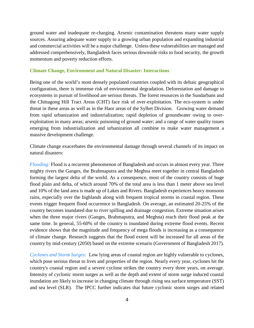ground water and inadequate re-charging. Arsenic contamination threatens many water supply sources. Assuring adequate water supply to a growing urban population and expanding industrial and commercial activities will be a major challenge. Unless these vulnerabilities are managed and addressed comprehensively, Bangladesh faces serious downside risks to food security, the growth momentum and poverty reduction efforts.

#### <span id="page-15-0"></span>**Climate Change, Environment and Natural Disaster: Interactions**

Being one of the world's most densely populated countries coupled with its deltaic geographical configuration, there is immense risk of environmental degradation. Deforestation and damage to ecosystems in pursuit of livelihood are serious threats. The forest resources in the Sundarbans and the Chittagong Hill Tract Areas (CHT) face risk of over-exploitation. The eco-system is under threat in these areas as well as in the Haor areas of the Sylhet Division. Growing water demand from rapid urbanization and industrialization; rapid depletion of groundwater owing to overexploitation in many areas; arsenic poisoning of ground water; and a range of water quality issues emerging from industrialization and urbanization all combine to make water management a massive development challenge.

Climate change exacerbates the environmental damage through several channels of its impact on natural disasters:

*Flooding:* Flood is a recurrent phenomenon of Bangladesh and occurs in almost every year. Three mighty rivers the Ganges, the Brahmaputra and the Meghna meet together in central Bangladesh forming the largest delta of the world. As a consequence, most of the country consists of huge flood plain and delta, of which around 70% of the total area is less than 1 meter above sea level and 10% of the land area is made up of Lakes and Rivers. Bangladesh experiences heavy monsoon rains, especially over the highlands along with frequent tropical storms in coastal region. These events trigger frequent flood occurrence in Bangladesh. On average, an estimated 20-25% of the country becomes inundated due to river spilling and drainage congestion. Extreme situation arises when the three major rivers (Ganges, Brahmaputra, and Meghna) reach their flood peak at the same time. In general, 55-60% of the country is inundated during extreme flood events. Recent evidence shows that the magnitude and frequency of mega floods is increasing as a consequence of climate change. Research suggests that the flood extent will be increased for all areas of the country by mid-century (2050) based on the extreme scenario (Government of Bangladesh 2017).

*Cyclones and Storm Surges:*Low lying areas of coastal region are highly vulnerable to cyclones, which pose serious threat to lives and properties of the region. Nearly every year, cyclones hit the country's coastal region and a severe cyclone strikes the country every three years, on average. Intensity of cyclonic storm surges as well as the depth and extent of storm surge induced coastal inundation are likely to increase in changing climate through rising sea surface temperature (SST) and sea level (SLR). The IPCC further indicates that future cyclonic storm surges and related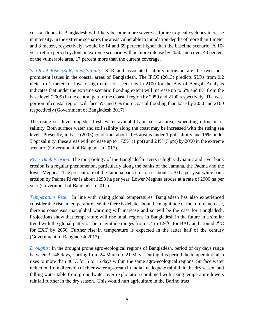coastal floods in Bangladesh will likely become more severe as future tropical cyclones increase in intensity. In the extreme scenario, the areas vulnerable to inundation depths of more than 1 meter and 3 meters, respectively, would be 14 and 69 percent higher than the baseline scenario. A 10 year-return period cyclone in extreme scenario will be more intense by 2050 and cover 43 percent of the vulnerable area, 17 percent more than the current coverage.

*Sea-level Rise (SLR) and Salinity:* SLR and associated salinity intrusion are the two most prominent issues in the coastal areas of Bangladesh. The IPCC (2013) predicts SLRs from 0.2 meter to 1 meter for low to high emission scenarios in 2100 for the Bay of Bengal. Analysis indicates that under the extreme scenario flooding extent will increase up to 6% and 8% from the base level (2005) in the central part of the Coastal region by 2050 and 2100 respectively. The west portion of coastal region will face 5% and 6% more coastal flooding than base by 2050 and 2100 respectively (Government of Bangladesh 2017).

The rising sea level impedes fresh water availability in coastal area, expediting intrusion of salinity. Both surface water and soil salinity along the coast may be increased with the rising sea level. Presently, in base (2005) condition, about 10% area is under 1 ppt salinity and 16% under 5 ppt salinity; these areas will increase up to 17.5% (1 ppt) and 24% (5 ppt) by 2050 in the extreme scenario (Government of Bangladesh 2017).

*River Bank Erosion:* The morphology of the Bangladeshi rivers is highly dynamic and river bank erosion is a regular phenomenon, particularly along the banks of the Jamuna, the Padma and the lower Meghna. The present rate of the Jamuna bank erosion is about 1770 ha per year while bank erosion by Padma River is about 1298 ha per year. Lower Meghna erodes at a rate of 2900 ha per year (Government of Bangladesh 2017).

*Temperature Rise:* In line with rising global temperatures. Bangladesh has also experienced considerable rise in temperature. While there is debate about the magnitude of the future increase, there is consensus that global warming will increase and so will be the case for Bangladesh. Projections show that temperature will rise in all regions in Bangladesh in the future in a similar trend with the global pattern. The magnitude ranges from 1.4 to 1.9<sup>o</sup>C for BAU and around  $2^{0}C$ for EXT by 2050. Further rise in temperature is expected in the latter half of the century (Government of Bangladesh 2017).

*Droughts:* In the drought prone agro-ecological regions of Bangladesh, period of dry days range between 32-48 days, starting from 24 March to 21 May. During this period the temperature also rises to more than 40°C for 5 to 15 days within the same agro-ecological regions. Surface water reduction from diversion of river water upstream in India, inadequate rainfall in the dry season and falling water table from groundwater over-exploitation combined with rising temperature lowers rainfall further in the dry season. This would hurt agriculture in the Barind tract.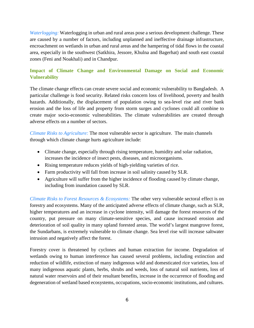*Waterlogging:* Waterlogging in urban and rural areas pose a serious development challenge. These are caused by a number of factors, including unplanned and ineffective drainage infrastructure, encroachment on wetlands in urban and rural areas and the hampering of tidal flows in the coastal area, especially in the southwest (Satkhira, Jessore, Khulna and Bagerhat) and south east coastal zones (Feni and Noakhali) and in Chandpur.

#### <span id="page-17-0"></span>**Impact of Climate Change and Environmental Damage on Social and Economic Vulnerability**

The climate change effects can create severe social and economic vulnerability to Bangladesh. A particular challenge is food security. Related risks concern loss of livelihood, poverty and health hazards. Additionally, the displacement of population owing to sea-level rise and river bank erosion and the loss of life and property from storm surges and cyclones could all combine to create major socio-economic vulnerabilities. The climate vulnerabilities are created through adverse effects on a number of sectors.

*Climate Risks to Agriculture:* The most vulnerable sector is agriculture. The main channels through which climate change hurts agriculture include:

- Climate change, especially through rising temperature, humidity and solar radiation, increases the incidence of insect pests, diseases, and microorganisms.
- Rising temperature reduces yields of high-yielding varieties of rice.
- Farm productivity will fall from increase in soil salinity caused by SLR.
- Agriculture will suffer from the higher incidence of flooding caused by climate change, including from inundation caused by SLR.

*Climate Risks to Forest Resources & Ecosystems:* The other very vulnerable sectoral effect is on forestry and ecosystems. Many of the anticipated adverse effects of climate change, such as SLR, higher temperatures and an increase in cyclone intensity, will damage the forest resources of the country, put pressure on many climate-sensitive species, and cause increased erosion and deterioration of soil quality in many upland forested areas. The world's largest mangrove forest, the Sundarbans, is extremely vulnerable to climate change. Sea level rise will increase saltwater intrusion and negatively affect the forest.

Forestry cover is threatened by cyclones and human extraction for income. Degradation of wetlands owing to human interference has caused several problems, including extinction and reduction of wildlife, extinction of many indigenous wild and domesticated rice varieties, loss of many indigenous aquatic plants, herbs, shrubs and weeds, loss of natural soil nutrients, loss of natural water reservoirs and of their resultant benefits, increase in the occurrence of flooding and degeneration of wetland based ecosystems, occupations, socio-economic institutions, and cultures.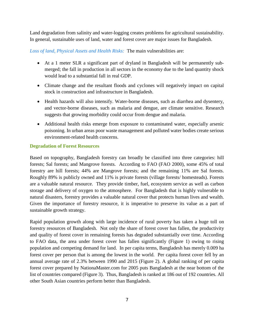Land degradation from salinity and water-logging creates problems for agricultural sustainability. In general, sustainable uses of land, water and forest cover are major issues for Bangladesh.

*Loss of land, Physical Assets and Health Risks:* The main vulnerabilities are:

- At a 1 meter SLR a significant part of dryland in Bangladesh will be permanently submerged; the fall in production in all sectors in the economy due to the land quantity shock would lead to a substantial fall in real GDP.
- Climate change and the resultant floods and cyclones will negatively impact on capital stock in construction and infrastructure in Bangladesh.
- Health hazards will also intensify. Water-borne diseases, such as diarrhea and dysentery, and vector-borne diseases, such as malaria and dengue, are climate sensitive. Research suggests that growing morbidity could occur from dengue and malaria.
- Additional health risks emerge from exposure to contaminated water, especially arsenic poisoning. In urban areas poor waste management and polluted water bodies create serious environment-related health concerns.

#### <span id="page-18-0"></span>**Degradation of Forest Resources**

Based on topography, Bangladesh forestry can broadly be classified into three categories: hill forests; Sal forests; and Mangrove forests. According to FAO (FAO 2000), some 45% of total forestry are hill forests; 44% are Mangrove forests; and the remaining 11% are Sal forests. Roughly 89% is publicly owned and 11% is private forests (village forests/ homesteads). Forests are a valuable natural resource. They provide timber, fuel, ecosystem service as well as carbon storage and delivery of oxygen to the atmosphere. For Bangladesh that is highly vulnerable to natural disasters, forestry provides a valuable natural cover that protects human lives and wealth. Given the importance of forestry resource, it is imperative to preserve its value as a part of sustainable growth strategy.

Rapid population growth along with large incidence of rural poverty has taken a huge toll on forestry resources of Bangladesh. Not only the share of forest cover has fallen, the productivity and quality of forest cover in remaining forests has degraded substantially over time. According to FAO data, the area under forest cover has fallen significantly (Figure 1) owing to rising population and competing demand for land. In per capita terms, Bangladesh has merely 0.009 ha forest cover per person that is among the lowest in the world. Per capita forest cover fell by an annual average rate of 2.3% between 1990 and 2015 (Figure 2). A global ranking of per capita forest cover prepared by NationaMaster.com for 2005 puts Bangladesh at the near bottom of the list of countries compared (Figure 3). Thus, Bangladesh is ranked at 186 out of 192 countries. All other South Asian countries perform better than Bangladesh.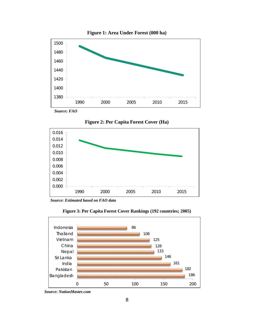<span id="page-19-0"></span>

**Figure 2: Per Capita Forest Cover (Ha)**

<span id="page-19-1"></span>

*Source: Estimated based on FAO data*



<span id="page-19-2"></span>

*Source: NationMaster.com*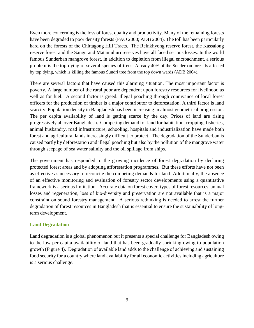Even more concerning is the loss of forest quality and productivity. Many of the remaining forests have been degraded to poor density forests (FAO 2000; ADB 2004). The toll has been particularly hard on the forests of the Chittagong Hill Tracts. The Reinkhyong reserve forest, the Kassalong reserve forest and the Sangu and Matamuhuri reserves have all faced serious losses. In the world famous Sunderban mangrove forest, in addition to depletion from illegal encroachment, a serious problem is the top-dying of several species of trees. Already 40% of the Sunderban forest is affected by top dying, which is killing the famous Sundri tree from the top down wards (ADB 2004).

There are several factors that have caused this alarming situation. The most important factor is poverty. A large number of the rural poor are dependent upon forestry resources for livelihood as well as for fuel. A second factor is greed. Illegal poaching through connivance of local forest officers for the production of timber is a major contributor to deforestation. A third factor is land scarcity. Population density in Bangladesh has been increasing in almost geometrical progression. The per capita availability of land is getting scarce by the day. Prices of land are rising progressively all over Bangladesh. Competing demand for land for habitation, cropping, fisheries, animal husbandry, road infrastructure, schooling, hospitals and industrialization have made both forest and agricultural lands increasingly difficult to protect. The degradation of the Sunderban is caused partly by deforestation and illegal poaching but also by the pollution of the mangrove water through seepage of sea water salinity and the oil spillage from ships.

The government has responded to the growing incidence of forest degradation by declaring protected forest areas and by adopting afforestation programmes. But these efforts have not been as effective as necessary to reconcile the competing demands for land. Additionally, the absence of an effective monitoring and evaluation of forestry sector developments using a quantitative framework is a serious limitation. Accurate data on forest cover, types of forest resources, annual losses and regeneration, loss of bio-diversity and preservation are not available that is a major constraint on sound forestry management. A serious rethinking is needed to arrest the further degradation of forest resources in Bangladesh that is essential to ensure the sustainability of longterm development.

#### <span id="page-20-0"></span>**Land Degradation**

Land degradation is a global phenomenon but it presents a special challenge for Bangladesh owing to the low per capita availability of land that has been gradually shrinking owing to population growth (Figure 4). Degradation of available land adds to the challenge of achieving and sustaining food security for a country where land availability for all economic activities including agriculture is a serious challenge.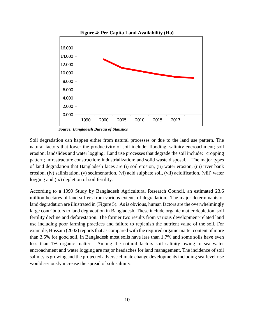<span id="page-21-0"></span>

*Source: Bangladesh Bureau of Statistics*

Soil degradation can happen either from natural processes or due to the land use pattern. The natural factors that lower the productivity of soil include: flooding; salinity encroachment; soil erosion; landslides and water logging. Land use processes that degrade the soil include: cropping pattern; infrastructure construction; industrialization; and solid waste disposal. The major types of land degradation that Bangladesh faces are (i) soil erosion, (ii) water erosion, (iii) river bank erosion, (iv) salinization, (v) sedimentation, (vi) acid sulphate soil, (vii) acidification, (viii) water logging and (ix) depletion of soil fertility.

According to a 1999 Study by Bangladesh Agricultural Research Council, an estimated 23.6 million hectares of land suffers from various extents of degradation. The major determinants of land degradation are illustrated in (Figure 5). As is obvious, human factors are the overwhelmingly large contributors to land degradation in Bangladesh. These include organic matter depletion, soil fertility decline and deforestation. The former two results from various development-related land use including poor farming practices and failure to replenish the nutrient value of the soil. For example, Hossain (2002) reports that as compared with the required organic matter content of more than 3.5% for good soil, in Bangladesh most soils have less than 1.7% and some soils have even less than 1% organic matter. Among the natural factors soil salinity owing to sea water encroachment and water logging are major headaches for land management. The incidence of soil salinity is growing and the projected adverse climate change developments including sea-level rise would seriously increase the spread of soli salinity.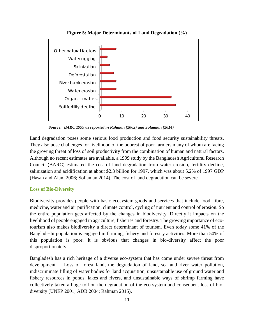<span id="page-22-1"></span>

**Figure 5: Major Determinants of Land Degradation (%)**

*Source: BARC 1999 as reported in Rahman (2002) and Solaiman (2014)*

Land degradation poses some serious food production and food security sustainability threats. They also pose challenges for livelihood of the poorest of poor farmers many of whom are facing the growing threat of loss of soil productivity from the combination of human and natural factors. Although no recent estimates are available, a 1999 study by the Bangladesh Agricultural Research Council (BARC) estimated the cost of land degradation from water erosion, fertility decline, salinization and acidification at about \$2.3 billion for 1997, which was about 5.2% of 1997 GDP (Hasan and Alam 2006; Soliaman 2014). The cost of land degradation can be severe.

#### <span id="page-22-0"></span>**Loss of Bio-Diversity**

Biodiversity provides people with basic ecosystem goods and services that include food, fibre, medicine, water and air purification, climate control, cycling of nutrient and control of erosion. So the entire population gets affected by the changes in biodiversity. Directly it impacts on the livelihood of people engaged in agriculture, fisheries and forestry. The growing importance of ecotourism also makes biodiversity a direct determinant of tourism. Even today some 41% of the Bangladeshi population is engaged in farming, fishery and forestry activities. More than 50% of this population is poor. It is obvious that changes in bio-diversity affect the poor disproportionately.

Bangladesh has a rich heritage of a diverse eco-system that has come under severe threat from development. Loss of forest land, the degradation of land, sea and river water pollution, indiscriminate filling of water bodies for land acquisition, unsustainable use of ground water and fishery resources in ponds, lakes and rivers, and unsustainable ways of shrimp farming have collectively taken a huge toll on the degradation of the eco-system and consequent loss of biodiversity (UNEP 2001; ADB 2004; Rahman 2015).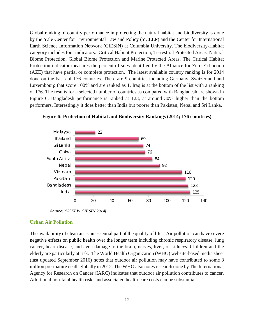Global ranking of country performance in protecting the natural habitat and biodiversity is done by the Yale Center for Environmental Law and Policy (YCELP) and the Center for International Earth Science Information Network (CIESIN) at Columbia University. The biodiversity-Habitat category includes four indicators: Critical Habitat Protection, Terrestrial Protected Areas, Natural Biome Protection, Global Biome Protection and Marine Protected Areas. The Critical Habitat Protection indicator measures the percent of sites identified by the Alliance for Zero Extinction (AZE) that have partial or complete protection. The latest available country ranking is for 2014 done on the basis of 176 countries. There are 9 countries including Germany, Switzerland and Luxembourg that score 100% and are ranked as 1. Iraq is at the bottom of the list with a ranking of 176. The results for a selected number of countries as compared with Bangladesh are shown in Figure 6. Bangladesh performance is ranked at 123, at around 30% higher than the bottom performers. Interestingly it does better than India but poorer than Pakistan, Nepal and Sri Lanka.

<span id="page-23-1"></span>

**Figure 6: Protection of Habitat and Biodiversity Rankings (2014; 176 countries)**

*Source: (YCELP- CIESIN 2014)*

#### <span id="page-23-0"></span>**Urban Air Pollution**

The availability of clean air is an essential part of the quality of life. Air pollution can have severe negative effects on public health over the longer term including chronic respiratory disease, lung cancer, heart disease, and even damage to the brain, nerves, liver, or kidneys. Children and the elderly are particularly at risk. The World Health Organization (WHO) website-based media sheet (last updated September 2016) notes that outdoor air pollution may have contributed to some 3 million pre-mature death globally in 2012. The WHO also notes research done by The International Agency for Research on Cancer (IARC) indicates that outdoor air pollution contributes to cancer. Additional non-fatal health risks and associated health-care costs can be substantial.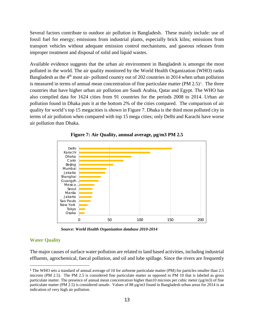Several factors contribute to outdoor air pollution in Bangladesh. These mainly include: use of fossil fuel for energy; emissions from industrial plants, especially brick kilns; emissions from transport vehicles without adequate emission control mechanisms, and gaseous releases from improper treatment and disposal of solid and liquid wastes.

Available evidence suggests that the urban air environment in Bangladesh is amongst the most polluted in the world. The air quality monitored by the World Health Organization (WHO) ranks Bangladesh as the 4<sup>th</sup> most air-polluted country out of 202 countries in 2014 when urban pollution is measured in terms of annual mean concentration of fine particulate matter  $(PM 2.5)^1$  $(PM 2.5)^1$ . The three countries that have higher urban air pollution are Saudi Arabia, Qatar and Egypt. The WHO has also compiled data for 1624 cities from 91 countries for the periods 2008 to 2014. Urban air pollution found in Dhaka puts it at the bottom 2% of the cities compared. The comparison of air quality for world's top 15 megacities is shown in Figure 7. Dhaka is the third most polluted city in terms of air pollution when compared with top 15 mega cities; only Delhi and Karachi have worse air pollution than Dhaka.

<span id="page-24-1"></span>



 *Source: World Health Organization database 2010-2014*

#### <span id="page-24-0"></span>**Water Quality**

The major causes of surface water pollution are related to land based activities, including industrial effluents, agrochemical, faecal pollution, and oil and lube spillage. Since the rivers are frequently

<span id="page-24-2"></span> <sup>1</sup> The WHO sets a standard of annual average of 10 for airborne particulate matter (PM) for particles smaller than 2.5 microns (PM 2.5). The PM 2.5 is considered fine particulate matter as opposed to PM 10 that is labeled as gross particulate matter. The presence of annual mean concentration higher than10 microns per cubic meter ( $\mu$ g/m3) of fine particulate matter (PM 2.5) is considered unsafe. Values of 88  $\mu$ g/m3 found in Bangladesh urban areas for 2014 is an indication of very high air pollution.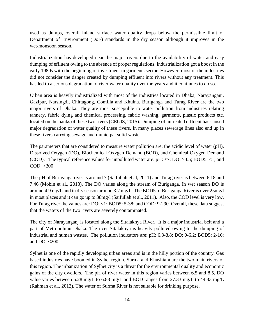used as dumps, overall inland surface water quality drops below the permissible limit of Department of Environment (DoE) standards in the dry season although it improves in the wet/monsoon season.

Industrialization has developed near the major rivers due to the availability of water and easy dumping of effluent owing to the absence of proper regulations. Industrialization got a boost in the early 1980s with the beginning of investment in garments sector. However, most of the industries did not consider the danger created by dumping effluent into rivers without any treatment. This has led to a serious degradation of river water quality over the years and it continues to do so.

Urban area is heavily industrialized with most of the industries located in Dhaka, Narayanganj, Gazipur, Narsingdi, Chittagong, Comilla and Khulna. Buriganga and Turag River are the two major rivers of Dhaka. They are most susceptible to water pollution from industries relating tannery, fabric dying and chemical processing, fabric washing, garments, plastic products etc. located on the banks of these two rivers (CEGIS, 2015). Dumping of untreated effluent has caused major degradation of water quality of these rivers. In many places sewerage lines also end up in these rivers carrying sewage and municipal solid waste.

The parameters that are considered to measure water pollution are: the acidic level of water (pH), Dissolved Oxygen (DO), Biochemical Oxygen Demand (BOD), and Chemical Oxygen Demand (COD). The typical reference values for unpolluted water are:  $pH: \leq 7$ ; DO: >3.5; BOD5: <1; and COD: >200

The pH of Buriganga river is around 7 (Saifullah et al, 2011) and Turag river is between 6.18 and 7.46 (Mobin et al., 2013). The DO varies along the stream of Buriganga. In wet season DO is around 4.9 mg/L and in dry season around 3.7 mg/L. The BOD5 of Buriganga River is over 25mg/l in most places and it can go up to 38mg/l (Saifullah et al., 2011). Also, the COD level is very low. For Turag river the values are: DO: <1; BOD5: 5-38; and COD: 9-290. Overall, these data suggest that the waters of the two rivers are severely contaminated.

The city of Narayanganj is located along the Sitalakhya River. It is a major industrial belt and a part of Metropolitan Dhaka. The ricer Sitalakhya is heavily polluted owing to the dumping of industrial and human wastes. The pollution indicators are: pH: 6.3-8.8; DO: 0-6.2; BOD5: 2-16; and  $DO: < 200$ .

Sylhet is one of the rapidly developing urban areas and is in the hilly portion of the country. Gas based industries have boomed in Sylhet region. Surma and Khushiara are the two main rivers of this region. The urbanization of Sylhet city is a threat for the environmental quality and economic gains of the city dwellers. The pH of river water in this region varies between 6.5 and 8.5, DO value varies between 5.28 mg/L to 6.88 mg/L and BOD ranges from 27.33 mg/L to 44.33 mg/L (Rahman et al., 2013). The water of Surma River is not suitable for drinking purpose.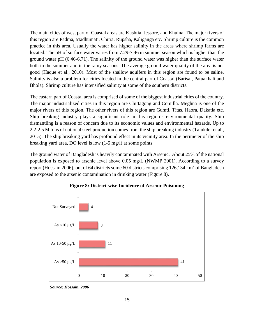The main cities of west part of Coastal areas are Kushtia, Jessore, and Khulna. The major rivers of this region are Padma, Madhumati, Chitra, Rupsha, Kaliganga etc. Shrimp culture is the common practice in this area. Usually the water has higher salinity in the areas where shrimp farms are located. The pH of surface water varies from 7.29-7.46 in summer season which is higher than the ground water pH (6.46-6.71). The salinity of the ground water was higher than the surface water both in the summer and in the rainy seasons. The average ground water quality of the area is not good (Haque et al., 2010). Most of the shallow aquifers in this region are found to be saline. Salinity is also a problem for cities located in the central part of Coastal (Barisal, Patuakhali and Bhola). Shrimp culture has intensified salinity at some of the southern districts.

The eastern part of Coastal area is comprised of some of the biggest industrial cities of the country. The major industrialized cities in this region are Chittagong and Comilla. Meghna is one of the major rivers of this region. The other rivers of this region are Gumti, Titas, Haora, Dakatia etc. Ship breaking industry plays a significant role in this region's environmental quality. Ship dismantling is a reason of concern due to its economic values and environmental hazards. Up to 2.2-2.5 M tons of national steel production comes from the ship breaking industry (Talukder et al., 2015). The ship breaking yard has profound effect in its vicinity area. In the perimeter of the ship breaking yard area, DO level is low (1-5 mg/l) at some points.

The ground water of Bangladesh is heavily contaminated with Arsenic. About 25% of the national population is exposed to arsenic level above 0.05 mg/L (NWMP 2001). According to a survey report (Hossain 2006), out of 64 districts some 60 districts comprising 126,134 km<sup>2</sup> of Bangladesh are exposed to the arsenic contamination in drinking water (Figure 8).

<span id="page-26-0"></span>



*Source: Hossain, 2006*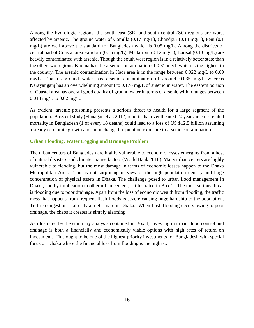Among the hydrologic regions, the south east (SE) and south central (SC) regions are worst affected by arsenic. The ground water of Comilla (0.17 mg/L), Chandpur (0.13 mg/L), Feni (0.1 mg/L) are well above the standard for Bangladesh which is 0.05 mg/L. Among the districts of central part of Coastal area Faridpur (0.16 mg/L), Madaripur (0.12 mg/L), Barisal (0.18 mg/L) are heavily contaminated with arsenic. Though the south west region is in a relatively better state than the other two regions, Khulna has the arsenic contamination of 0.31 mg/L which is the highest in the country. The arsenic contamination in Haor area is in the range between 0.022 mg/L to 0.09 mg/L. Dhaka's ground water has arsenic contamination of around 0.035 mg/L whereas Narayanganj has an overwhelming amount to 0.176 mg/L of arsenic in water. The eastern portion of Coastal area has overall good quality of ground water in terms of arsenic within ranges between 0.013 mg/L to 0.02 mg/L.

As evident, arsenic poisoning presents a serious threat to health for a large segment of the population. A recent study (Flanagan et al. 2012) reports that over the next 20 years arsenic-related mortality in Bangladesh (1 of every 18 deaths) could lead to a loss of US \$12.5 billion assuming a steady economic growth and an unchanged population exposure to arsenic contamination.

#### <span id="page-27-0"></span>**Urban Flooding, Water Logging and Drainage Problem**

The urban centers of Bangladesh are highly vulnerable to economic losses emerging from a host of natural disasters and climate change factors (World Bank 2016). Many urban centers are highly vulnerable to flooding, but the most damage in terms of economic losses happen to the Dhaka Metropolitan Area. This is not surprising in view of the high population density and huge concentration of physical assets in Dhaka. The challenge posed to urban flood management in Dhaka, and by implication to other urban centers, is illustrated in Box 1. The most serious threat is flooding due to poor drainage. Apart from the loss of economic wealth from flooding, the traffic mess that happens from frequent flash floods is severe causing huge hardship to the population. Traffic congestion is already a night mare in Dhaka. When flash flooding occurs owing to poor drainage, the chaos it creates is simply alarming.

As illustrated by the summary analysis contained in Box 1, investing in urban flood control and drainage is both a financially and economically viable options with high rates of return on investment. This ought to be one of the highest priority investments for Bangladesh with special focus on Dhaka where the financial loss from flooding is the highest.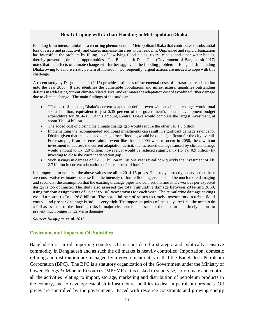#### **Box 1: Coping with Urban Flooding in Metropolitan Dhaka**

Flooding from intense rainfall is a recurring phenomenon in Metropolitan Dhaka that contributes to substantial loss of assets and productivity and causes immense miseries to the residents. Unplanned and rapid urbanization has intensified the problem by filling up of low-lying flood plains, rivers, canals, and other water bodies, thereby preventing drainage opportunities. The Bangladesh Delta Plan (Government of Bangladesh 2017) notes that the effects of climate change will further aggravate the flooding problem in Bangladesh including Dhaka owing to a more erratic pattern of monsoon. Consequently, urgent actions are needed to cope with this challenge.

A recent study by Dasgupta et. al. (2015) provides estimates of incremental costs of infrastructure adaptation upto the year 2050. It also identifies the vulnerable populations and infrastructure, quantifies outstanding deficits in addressing current climate-related risks, and estimates the adaptation cost of avoiding further damage due to climate change. The main findings of the study are:

- "The cost of meeting Dhaka's current adaptation deficit, even without climate change, would total Tk. 2.7 billion, equivalent to just 0.35 percent of the government's annual development budget expenditure for 2014–15. Of this amount, Central Dhaka would comprise the largest investment, at about Tk. 1.4 billion.
- The added cost of closing the climate change gap would require the other Tk. 1.3 billion.
- Implementing the recommended additional investments can result in significant damage savings for Dhaka, given that the expected damage from flooding would be quite significant for the city overall. For example, if an extreme rainfall event like that of 2004 were to occur in 2050, then, without investment to address the current adaptation deficit, the increased damage caused by climate change would amount to Tk. 2.0 billion; however, it would be reduced significantly (to Tk. 0.9 billion) by investing to close the current adaptation gap.
- Such savings in damage of Tk. 1.1 billion in just one year reveal how quickly the investment of Tk. 2.7 billion in current adaptation deficit can be paid back."

It is important to note that the above values are all in 2014-15 prices. The study correctly observes that these are conservative estimates because first the intensity of future flooding events could be much more damaging and secondly, the assumption that the existing drainage pipes and connections and khals work as per expected design is too optimistic. The study also assessed the total cumulative damage between 2014 and 2050, using random assignments of 1-year to 100-year storms for each year. The cumulative damage savings would amount to Taka 96.8 billion. The potential rate of return to timely investments in urban flood control and proper drainage is indeed very high. The important points of the study are: first, the need to do a full assessment of the flooding risks in major city centers and; second, the need to take timely actions to prevent much bigger longer-term damages.

*Source: Dasgupta, et. al. 2015*

#### <span id="page-28-0"></span>**Environmental Impact of Oil Subsidies**

Bangladesh is an oil importing country. Oil is considered a strategic and politically sensitive commodity in Bangladesh and as such the oil market is heavily controlled. Importation, domestic refining and distribution are managed by a government entity called the Bangladesh Petroleum Corporation (BPC). The BPC is a statutory organization of the Government under the Ministry of Power, Energy & Mineral Resources (MPEMR). It is tasked to supervise, co-ordinate and control all the activities relating to import, storage, marketing and distribution of petroleum products in the country, and to develop/ establish infrastructure facilities to deal in petroleum products. Oil prices are controlled by the government. Faced with resource constraints and growing energy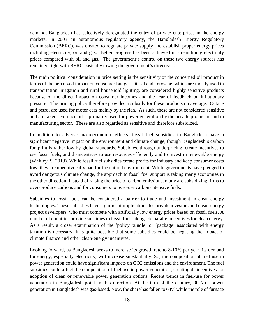demand, Bangladesh has selectively deregulated the entry of private enterprises in the energy markets. In 2003 an autonomous regulatory agency, the Bangladesh Energy Regulatory Commission (BERC), was created to regulate private supply and establish proper energy prices including electricity, oil and gas. Better progress has been achieved in streamlining electricity prices compared with oil and gas. The government's control on these two energy sources has remained tight with BERC basically towing the government's directives.

The main political consideration in price setting is the sensitivity of the concerned oil product in terms of the perceived impact on consumer budget. Diesel and kerosene, which are mostly used in transportation, irrigation and rural household lighting, are considered highly sensitive products because of the direct impact on consumer incomes and the fear of feedback on inflationary pressure. The pricing policy therefore provides a subsidy for these products on average. Octane and petrol are used for motor cars mainly by the rich. As such, these are not considered sensitive and are taxed. Furnace oil is primarily used for power generation by the private producers and in manufacturing sector. These are also regarded as sensitive and therefore subsidized.

In addition to adverse macroeconomic effects, fossil fuel subsidies in Bangladesh have a significant negative impact on the environment and climate change, though Bangladesh's carbon footprint is rather low by global standards. Subsidies, through underpricing, create incentives to use fossil fuels, and disincentives to use resources efficiently and to invest in renewable energy (Whitley, S. 2013). While fossil fuel subsidies create profits for industry and keep consumer costs low, they are unequivocally bad for the natural environment. While governments have pledged to avoid dangerous climate change, the approach to fossil fuel support is taking many economies in the other direction. Instead of raising the price of carbon emissions, many are subsidizing firms to over-produce carbons and for consumers to over-use carbon-intensive fuels.

Subsidies to fossil fuels can be considered a barrier to trade and investment in clean-energy technologies. These subsidies have significant implications for private investors and clean-energy project developers, who must compete with artificially low energy prices based on fossil fuels. A number of countries provide subsidies to fossil fuels alongside parallel incentives for clean energy. As a result, a closer examination of the 'policy bundle' or 'package' associated with energy taxation is necessary. It is quite possible that some subsidies could be negating the impact of climate finance and other clean-energy incentives.

Looking forward, as Bangladesh seeks to increase its growth rate to 8-10% per year, its demand for energy, especially electricity, will increase substantially. So, the composition of fuel use in power generation could have significant impacts on CO2 emissions and the environment. The fuel subsidies could affect the composition of fuel use in power generation, creating disincentives for adoption of clean or renewable power generation options. Recent trends in fuel-use for power generation in Bangladesh point in this direction. At the turn of the century, 90% of power generation in Bangladesh was gas-based. Now, the share has fallen to 63% while the role of furnace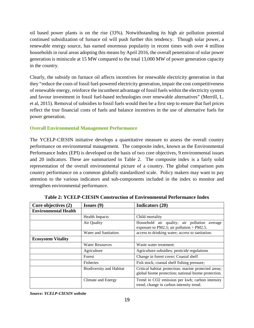oil based power plants is on the rise (33%). Notwithstanding its high air pollution potential continued subsidization of furnace oil will push further this tendency. Though solar power, a renewable energy source, has earned enormous popularity in recent times with over 4 million households in rural areas adopting this means by April 2016, the overall penetration of solar power generation is miniscule at 15 MW compared to the total 13,000 MW of power generation capacity in the country.

Clearly, the subsidy on furnace oil affects incentives for renewable electricity generation in that they "reduce the costs of fossil fuel-powered electricity generation, impair the cost competitiveness of renewable energy, reinforce the incumbent advantage of fossil fuels within the electricity system and favour investment in fossil fuel-based technologies over renewable alternatives" (Merrill, L. et al, 2015). Removal of subsidies to fossil fuels would then be a first step to ensure that fuel prices reflect the true financial costs of fuels and balance incentives in the use of alternative fuels for power generation.

#### <span id="page-30-0"></span>**Overall Environmental Management Performance**

The YCELP-CIESIN initiative develops a quantitative measure to assess the overall country performance on environmental management. The composite index, known as the Environmental Performance Index (EPI) is developed on the basis of two core objectives, 9 environmental issues and 20 indicators. These are summarized in Table 2. The composite index is a fairly solid representation of the overall environmental picture of a country. The global comparison puts country performance on a common globally standardized scale. Policy makers may want to pay attention to the various indicators and sub-components included in the index to monitor and strengthen environmental performance.

<span id="page-30-1"></span>

| Core objectives (2)         | Issues $(9)$                    | Indicators (20)                                                                                             |  |
|-----------------------------|---------------------------------|-------------------------------------------------------------------------------------------------------------|--|
| <b>Environmental Health</b> |                                 |                                                                                                             |  |
|                             | <b>Health Impacts</b>           | Child mortality                                                                                             |  |
|                             | Air Quality                     | Household air quality; air pollution average<br>exposure to PM2.5; air pollution > PM2.5.                   |  |
|                             | Water and Sanitation            | access to drinking water; access to sanitation.                                                             |  |
| <b>Ecosystem Vitality</b>   |                                 |                                                                                                             |  |
|                             | <b>Water Resources</b>          | Waste water treatment.                                                                                      |  |
|                             | Agriculture                     | Agriculture subsidies; pesticide regulations                                                                |  |
|                             | Forest                          | Change in forest cover; Coastal shelf                                                                       |  |
|                             | Fisheries                       | Fish stock; coastal shelf fishing pressure;                                                                 |  |
|                             | <b>Biodiversity and Habitat</b> | Critical habitat protection; marine protected areas;<br>global biome protection; national biome protection. |  |
|                             | Climate and Energy              | Trend in CO2 emission per kwh; carbon intensity<br>trend; change in carbon intensity trend.                 |  |

**Table 2: YCELP-CIESIN Construction of Environmental Performance Index**

*Source: YCELP-CIESIN website*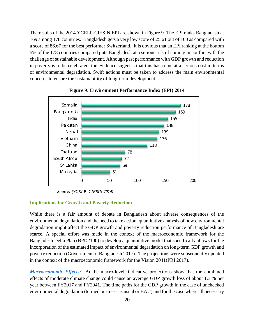The results of the 2014 YCELP-CIESIN EPI are shown in Figure 9. The EPI ranks Bangladesh at 169 among 178 countries. Bangladesh gets a very low score of 25.61 out of 100 as compared with a score of 86.67 for the best performer Switzerland. It is obvious that an EPI ranking at the bottom 5% of the 178 countries compared puts Bangladesh at a serious risk of coming in conflict with the challenge of sustainable development. Although past performance with GDP growth and reduction in poverty is to be celebrated, the evidence suggests that this has come at a serious cost in terms of environmental degradation. Swift actions must be taken to address the main environmental concerns to ensure the sustainability of long-term development.

<span id="page-31-1"></span>

**Figure 9: Environment Performance Index (EPI) 2014**

*Source: (YCELP- CIESIN 2014)*

#### <span id="page-31-0"></span>**Implications for Growth and Poverty Reduction**

While there is a fair amount of debate in Bangladesh about adverse consequences of the environmental degradation and the need to take action, quantitative analysis of how environmental degradation might affect the GDP growth and poverty reduction performance of Bangladesh are scarce. A special effort was made in the context of the macroeconomic framework for the Bangladesh Delta Plan (BPD2100) to develop a quantitative model that specifically allows for the incorporation of the estimated impact of environmental degradation on long-term GDP growth and poverty reduction (Government of Bangladesh 2017). The projections were subsequently updated in the context of the macroeconomic framework for the Vision 2041(PRI 2017).

*Macroeconomic Effects:* At the macro-level, indicative projections show that the combined effects of moderate climate change could cause an average GDP growth loss of about 1.3 % per year between FY2017 and FY2041. The time paths for the GDP growth in the case of unchecked environmental degradation (termed business as usual or BAU) and for the case where all necessary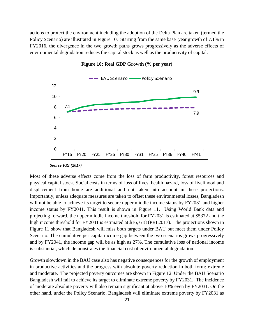actions to protect the environment including the adoption of the Delta Plan are taken (termed the Policy Scenario) are illustrated in Figure 10. Starting from the same base year growth of 7.1% in FY2016, the divergence in the two growth paths grows progressively as the adverse effects of environmental degradation reduces the capital stock as well as the productivity of capital.

<span id="page-32-0"></span>

**Figure 10: Real GDP Growth (% per year)**

*Source PRI (2017)*

Most of these adverse effects come from the loss of farm productivity, forest resources and physical capital stock. Social costs in terms of loss of lives, health hazard, loss of livelihood and displacement from home are additional and not taken into account in these projections. Importantly, unless adequate measures are taken to offset these environmental losses, Bangladesh will not be able to achieve its target to secure upper middle income status by FY2031 and higher income status by FY2041. This result is shown in Figure 11. Using World Bank data and projecting forward, the upper middle income threshold for FY2031 is estimated at \$5372 and the high income threshold for FY2041 is estimated at \$16, 618 (PRI 2017). The projections shown in Figure 11 show that Bangladesh will miss both targets under BAU but meet them under Policy Scenario. The cumulative per capita income gap between the two scenarios grows progressively and by FY2041, the income gap will be as high as 27%. The cumulative loss of national income is substantial, which demonstrates the financial cost of environmental degradation.

Growth slowdown in the BAU case also has negative consequences for the growth of employment in productive activities and the progress with absolute poverty reduction in both form: extreme and moderate. The projected poverty outcomes are shown in Figure 12. Under the BAU Scenario Bangladesh will fail to achieve its target to eliminate extreme poverty by FY2031. The incidence of moderate absolute poverty will also remain significant at above 10% even by FY2031. On the other hand, under the Policy Scenario, Bangladesh will eliminate extreme poverty by FY2031 as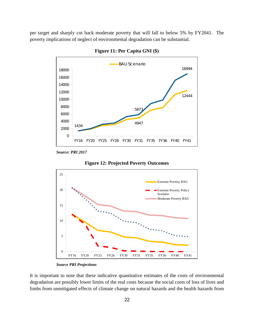<span id="page-33-0"></span>per target and sharply cut back moderate poverty that will fall to below 5% by FY2041. The poverty implications of neglect of environmental degradation can be substantial.



**Figure 11: Per Capita GNI (\$)**

*Source: PRI 2017*

<span id="page-33-1"></span>



*Source PRI Projections*

It is important to note that these indicative quantitative estimates of the costs of environmental degradation are possibly lower limits of the real costs because the social costs of loss of lives and limbs from unmitigated effects of climate change on natural hazards and the health hazards from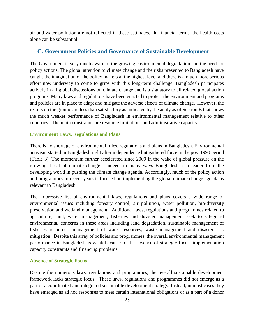air and water pollution are not reflected in these estimates. In financial terms, the health costs alone can be substantial.

#### <span id="page-34-0"></span>**C. Government Policies and Governance of Sustainable Development**

The Government is very much aware of the growing environmental degradation and the need for policy actions. The global attention to climate change and the risks presented to Bangladesh have caught the imagination of the policy makers at the highest level and there is a much more serious effort now underway to come to grips with this long-term challenge. Bangladesh participates actively in all global discussions on climate change and is a signatory to all related global action programs. Many laws and regulations have been enacted to protect the environment and programs and policies are in place to adapt and mitigate the adverse effects of climate change. However, the results on the ground are less than satisfactory as indicated by the analysis of Section B that shows the much weaker performance of Bangladesh in environmental management relative to other countries. The main constraints are resource limitations and administrative capacity.

#### <span id="page-34-1"></span>**Environment Laws, Regulations and Plans**

There is no shortage of environmental rules, regulations and plans in Bangladesh. Environmental activism started in Bangladesh right after independence but gathered force in the post 1990 period (Table 3). The momentum further accelerated since 2009 in the wake of global pressure on the growing threat of climate change. Indeed, in many ways Bangladesh is a leader from the developing world in pushing the climate change agenda. Accordingly, much of the policy action and programmes in recent years is focused on implementing the global climate change agenda as relevant to Bangladesh.

The impressive list of environmental laws, regulations and plans covers a wide range of environmental issues including forestry control, air pollution, water pollution, bio-diversity preservation and wetland management. Additional laws, regulations and programmes related to agriculture, land, water management, fisheries and disaster management seek to safeguard environmental concerns in these areas including land degradation, sustainable management of fisheries resources, management of water resources, waste management and disaster risk mitigation. Despite this array of policies and programmes, the overall environmental management performance in Bangladesh is weak because of the absence of strategic focus, implementation capacity constraints and financing problems.

#### <span id="page-34-2"></span>**Absence of Strategic Focus**

Despite the numerous laws, regulations and programmes, the overall sustainable development framework lacks strategic focus. These laws, regulations and programmes did not emerge as a part of a coordinated and integrated sustainable development strategy. Instead, in most cases they have emerged as ad hoc responses to meet certain international obligations or as a part of a donor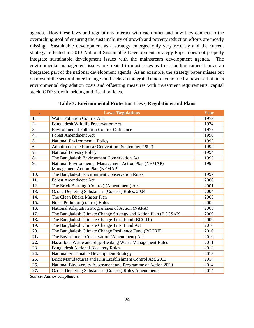agenda. How these laws and regulations interact with each other and how they connect to the overarching goal of ensuring the sustainability of growth and poverty reduction efforts are mostly missing. Sustainable development as a strategy emerged only very recently and the current strategy reflected in 2013 National Sustainable Development Strategy Paper does not properly integrate sustainable development issues with the mainstream development agenda. The environmental management issues are treated in most cases as free standing rather than as an integrated part of the national development agenda. As an example, the strategy paper misses out on most of the sectoral inter-linkages and lacks an integrated macroeconomic framework that links environmental degradation costs and offsetting measures with investment requirements, capital stock, GDP growth, pricing and fiscal policies.

<span id="page-35-0"></span>

| $\bullet$ | <b>Laws/Regulations</b>                                         | Year |
|-----------|-----------------------------------------------------------------|------|
| 1.        | <b>Water Pollution Control Act</b>                              | 1973 |
| 2.        | Bangladesh Wildlife Preservation Act                            | 1974 |
| 3.        | <b>Environmental Pollution Control Ordinance</b>                | 1977 |
| 4.        | <b>Forest Amendment Act</b>                                     | 1990 |
| 5.        | National Environmental Policy                                   | 1992 |
| 6.        | Adoption of the Ramsar Convention (September, 1992)             | 1992 |
| 7.        | <b>National Forestry Policy</b>                                 | 1994 |
| 8.        | The Bangladesh Environment Conservation Act                     | 1995 |
| 9.        | National Environmental Management Action Plan (NEMAP)           | 1995 |
|           | Management Action Plan (NEMAP)                                  |      |
| 10.       | The Bangladesh Environment Conservation Rules                   | 1997 |
| 11.       | <b>Forest Amendment Act</b>                                     | 2000 |
| 12.       | The Brick Burning (Control) (Amendment) Act                     | 2001 |
| 13.       | Ozone Depleting Substances (Control) Rules, 2004                | 2004 |
| 14.       | The Clean Dhaka Master Plan                                     | 2005 |
| 15.       | Noise Pollution (control) Rules                                 | 2005 |
| 16.       | National Adaptation Programmes of Action (NAPA)                 | 2005 |
| 17.       | The Bangladesh Climate Change Strategy and Action Plan (BCCSAP) | 2009 |
| 18.       | The Bangladesh Climate Change Trust Fund (BCCTF)                | 2009 |
| 19.       | The Bangladesh Climate Change Trust Fund Act                    | 2010 |
| 20.       | The Bangladesh Climate Change Resilience Fund (BCCRF)           | 2010 |
| 21.       | The Environment Conservation (Amendment) Act                    | 2010 |
| 22.       | Hazardous Waste and Ship Breaking Waste Management Rules        | 2011 |
| 23.       | <b>Bangladesh National Biosafety Rules</b>                      | 2012 |
| 24.       | National Sustainable Development Strategy                       | 2013 |
| 25.       | Brick Manufactures and Kiln Establishment Control Act, 2013     | 2014 |
| 26.       | National Biodiversity Assessment and Programme of Action 2020   | 2014 |
| 27.       | <b>Ozone Depleting Substances (Control) Rules Amendments</b>    | 2014 |

#### **Table 3: Environmental Protection Laws, Regulations and Plans**

*Source: Author compilation.*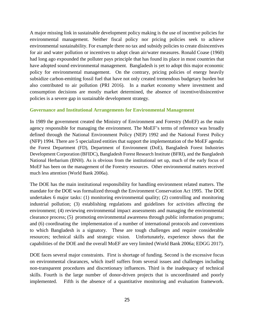A major missing link in sustainable development policy making is the use of incentive policies for environmental management. Neither fiscal policy nor pricing policies seek to achieve environmental sustainability. For example there no tax and subsidy policies to create disincentives for air and water pollution or incentives to adopt clean air/water measures. Ronald Coase (1960) had long ago expounded the polluter pays principle that has found its place in most countries that have adopted sound environmental management. Bangladesh is yet to adopt this major economic policy for environmental management. On the contrary, pricing policies of energy heavily subsidize carbon-emitting fossil fuel that have not only created tremendous budgetary burden but also contributed to air pollution (PRI 2016). In a market economy where investment and consumption decisions are mostly market determined, the absence of incentive/disincentive policies is a severe gap in sustainable development strategy.

#### <span id="page-36-0"></span>**Governance and Institutional Arrangements for Environmental Management**

In 1989 the government created the Ministry of Environment and Forestry (MoEF) as the main agency responsible for managing the environment. The MoEF's terms of reference was broadly defined through the National Environment Policy (NEP) 1992 and the National Forest Policy (NFP) 1994. There are 5 specialized entities that support the implementation of the MoEF agenda: the Forest Department (FD), Department of Environment (DoE), Bangladesh Forest Industries Development Corporation (BFIDC), Bangladesh Forest Research Institute (BFRI), and the Bangladesh National Herbarium (BNH). As is obvious from the institutional set up, much of the early focus of MoEF has been on the management of the Forestry resources. Other environmental matters received much less attention (World Bank 2006a).

The DOE has the main institutional responsibility for handling environment related matters. The mandate for the DOE was formalized through the Environment Conservation Act 1995. The DOE undertakes 6 major tasks: (1) monitoring environmental quality; (2) controlling and monitoring industrial pollution; (3) establishing regulations and guidelines for activities affecting the environment; (4) reviewing environmental impact assessments and managing the environmental clearance process; (5) promoting environmental awareness through public information programs; and (6) coordinating the implementation of a number of international protocols and conventions to which Bangladesh is a signatory. These are tough challenges and require considerable resources; technical skills and strategic vision. Unfortunately, experience shows that the capabilities of the DOE and the overall MoEF are very limited (World Bank 2006a; EDGG 2017).

DOE faces several major constraints. First is shortage of funding. Second is the excessive focus on environmental clearances, which itself suffers from several issues and challenges including non-transparent procedures and discretionary influences. Third is the inadequacy of technical skills. Fourth is the large number of donor-driven projects that is uncoordinated and poorly implemented. Fifth is the absence of a quantitative monitoring and evaluation framework.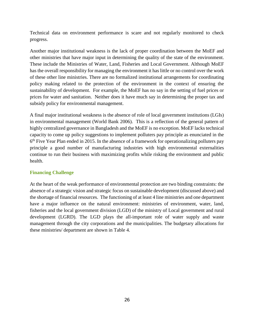Technical data on environment performance is scare and not regularly monitored to check progress.

Another major institutional weakness is the lack of proper coordination between the MoEF and other ministries that have major input in determining the quality of the state of the environment. These include the Ministries of Water, Land, Fisheries and Local Government. Although MoEF has the overall responsibility for managing the environment it has little or no control over the work of these other line ministries. There are no formalized institutional arrangements for coordinating policy making related to the protection of the environment in the context of ensuring the sustainability of development. For example, the MoEF has no say in the setting of fuel prices or prices for water and sanitation. Neither does it have much say in determining the proper tax and subsidy policy for environmental management.

A final major institutional weakness is the absence of role of local government institutions (LGIs) in environmental management (World Bank 2006). This is a reflection of the general pattern of highly centralized governance in Bangladesh and the MoEF is no exception. MoEF lacks technical capacity to come up policy suggestions to implement polluters pay principle as enunciated in the  $6<sup>th</sup>$  Five Year Plan ended in 2015. In the absence of a framework for operationalizing polluters pay principle a good number of manufacturing industries with high environmental externalities continue to run their business with maximizing profits while risking the environment and public health.

#### <span id="page-37-0"></span>**Financing Challenge**

At the heart of the weak performance of environmental protection are two binding constraints: the absence of a strategic vision and strategic focus on sustainable development (discussed above) and the shortage of financial resources. The functioning of at least 4 line ministries and one department have a major influence on the natural environment: ministries of environment, water, land, fisheries and the local government division (LGD) of the ministry of Local government and rural development (LGRD). The LGD plays the all-important role of water supply and waste management through the city corporations and the municipalities. The budgetary allocations for these ministries/ department are shown in Table 4.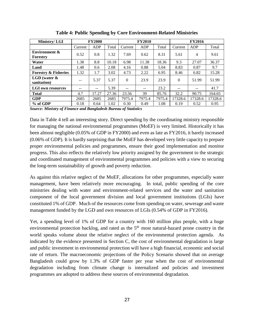<span id="page-38-0"></span>

| Ministry/LGI                         | <b>FY2000</b>         |       | <b>FY2010</b> |          |        | <b>FY2016</b> |          |                |         |
|--------------------------------------|-----------------------|-------|---------------|----------|--------|---------------|----------|----------------|---------|
|                                      | Current               | ADP   | Total         | Current  | ADP    | Total         | Current  | ADP            | Total   |
| <b>Environment &amp;</b><br>Forestry | 0.52                  | 0.8   | 1.32          | 7.69     | 0.62   | 8.31          | 5.61     | $\overline{4}$ | 9.61    |
| Water                                | 1.38                  | 8.8   | 10.18         | 6.98     | 11.38  | 18.36         | 9.3      | 27.07          | 36.37   |
| Land                                 | 1.48                  | 0.6   | 2.08          | 4.16     | 0.88   | 5.04          | 8.83     | 0.87           | 9.7     |
| <b>Forestry &amp; Fisheries</b>      | 1.32                  | 1.7   | 3.02          | 4.73     | 2.22   | 6.95          | 8.46     | 6.82           | 15.28   |
| $LGD$ (water $\&$<br>sanitation)     | $\sim$ $\sim$         | 5.37  | 5.37          | $\Omega$ | 23.9   | 23.9          | $\Omega$ | 51.99          | 51.99   |
| <b>LGI</b> own resources             | $- -$                 |       | 5.39          | $- -$    | --     | 23.2          | --       | --             | 41.7    |
| <b>Total</b>                         | 4.7                   | 17.27 | 27.36         | 23.56    | 39     | 85.76         | 32.2     | 90.75          | 164.65  |
| <b>GDP</b>                           | 2685                  | 2685  | 2685          | 7975.4   | 7975.4 | 7975.4        | 17328.6  | 17328.6        | 17328.6 |
| % of GDP<br>$\sim$ $\sim$ $\sim$     | 0.18<br>$\sim$ $\sim$ | 0.64  | 1.02          | 0.30     | 0.49   | 1.08          | 0.19     | 0.52           | 0.95    |

**Table 4: Public Spending by Core Environment-Related Ministries**

*Source: Ministry of Finance and Bangladesh Bureau of Statistics*

Data in Table 4 tell an interesting story. Direct spending by the coordinating ministry responsible for managing the national environmental programmes (MoEF) is very limited. Historically it has been almost negligible (0.05% of GDP in FY2000) and even as late as FY2016, it barely increased (0.06% of GDP). It is hardly surprising that the MoEF has developed very little capacity to prepare proper environmental policies and programmes, ensure their good implementation and monitor progress. This also reflects the relatively low priority assigned by the government to the strategic and coordinated management of environmental programmes and policies with a view to securing the long-term sustainability of growth and poverty reduction.

As against this relative neglect of the MoEF, allocations for other programmes, especially water management, have been relatively more encouraging. In total, public spending of the core ministries dealing with water and environment-related services and the water and sanitation component of the local government division and local government institutions (LGIs) have constituted 1% of GDP. Much of the resources come from spending on water, sewerage and waste management funded by the LGD and own resources of LGIs (0.54% of GDP in FY2016).

Yet, a spending level of 1% of GDP for a country with 160 million plus people, with a huge environmental protection backlog, and rated as the  $5<sup>th</sup>$  most natural-hazard prone country in the world speaks volume about the relative neglect of the environmental protection agenda. As indicated by the evidence presented in Section C, the cost of environmental degradation is large and public investment in environmental protection will have a high financial, economic and social rate of return. The macroeconomic projections of the Policy Scenario showed that on average Bangladesh could grow by 1.3% of GDP faster per year when the cost of environmental degradation including from climate change is internalized and policies and investment programmes are adopted to address these sources of environmental degradation.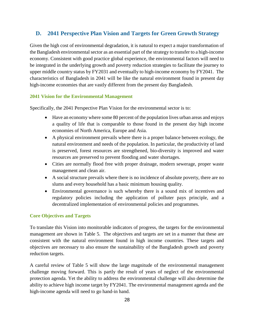## <span id="page-39-0"></span>**D. 2041 Perspective Plan Vision and Targets for Green Growth Strategy**

Given the high cost of environmental degradation, it is natural to expect a major transformation of the Bangladesh environmental sector as an essential part of the strategy to transfer to a high-income economy. Consistent with good practice global experience, the environmental factors will need to be integrated in the underlying growth and poverty reduction strategies to facilitate the journey to upper middle country status by FY2031 and eventually to high-income economy by FY2041. The characteristics of Bangladesh in 2041 will be like the natural environment found in present day high-income economies that are vastly different from the present day Bangladesh.

#### <span id="page-39-1"></span>**2041 Vision for the Environmental Management**

Specifically, the 2041 Perspective Plan Vision for the environmental sector is to:

- Have an economy where some 80 percent of the population lives urban areas and enjoys a quality of life that is comparable to those found in the present day high income economies of North America, Europe and Asia.
- A physical environment prevails where there is a proper balance between ecology, the natural environment and needs of the population. In particular, the productivity of land is preserved, forest resources are strengthened, bio-diversity is improved and water resources are preserved to prevent flooding and water shortages.
- Cities are normally flood free with proper drainage, modern sewerage, proper waste management and clean air.
- A social structure prevails where there is no incidence of absolute poverty, there are no slums and every household has a basic minimum housing quality.
- Environmental governance is such whereby there is a sound mix of incentives and regulatory policies including the application of polluter pays principle, and a decentralized implementation of environmental policies and programmes.

#### <span id="page-39-2"></span>**Core Objectives and Targets**

To translate this Vision into monitorable indicators of progress, the targets for the environmental management are shown in Table 5. The objectives and targets are set in a manner that these are consistent with the natural environment found in high income countries. These targets and objectives are necessary to also ensure the sustainability of the Bangladesh growth and poverty reduction targets.

A careful review of Table 5 will show the large magnitude of the environmental management challenge moving forward. This is partly the result of years of neglect of the environmental protection agenda. Yet the ability to address the environmental challenge will also determine the ability to achieve high income target by FY2041. The environmental management agenda and the high-income agenda will need to go hand-in hand.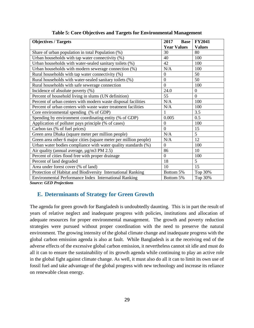<span id="page-40-1"></span>

| <b>Objectives / Targets</b>                                       | 2017<br><b>Base</b> | <b>FY2041</b>  |
|-------------------------------------------------------------------|---------------------|----------------|
|                                                                   | <b>Year Values</b>  | <b>Values</b>  |
| Share of urban population in total Population (%)                 | 30                  | 80             |
| Urban households with tap water connectivity (%)                  | 40                  | 100            |
| Urban households with water-sealed sanitary toilets (%)           | 42                  | 100            |
| Urban households with modern sewerage connection (%)              | N/A                 | 100            |
| Rural households with tap water connectivity (%)                  | $\overline{0}$      | 50             |
| Rural households with water-sealed sanitary toilets (%)           | $\boldsymbol{0}$    | 50             |
| Rural households with safe sewerage connection                    | $\overline{0}$      | 100            |
| Incidence of absolute poverty $(\%)$                              | 24.0                | $\overline{0}$ |
| Percent of household living in slums (UN definition)              | 55                  | $\overline{0}$ |
| Percent of urban centers with modern waste disposal facilities    | N/A                 | 100            |
| Percent of urban centers with waste water treatment facilities    | N/A                 | 100            |
| Core environmental spending (% of GDP)                            |                     | 3.5            |
| Spending by environment coordinating entity (% of GDP)            | 0.005               | 0.5            |
| Application of polluter pays principle (% of cases)               | $\overline{0}$      | 100            |
| Carbon tax (% of fuel prices)                                     | $\overline{0}$      | 15             |
| Green area Dhaka (square meter per million people)                | N/A                 | $\overline{5}$ |
| Green area other 6 major cities (square meter per million people) | N/A                 | 12             |
| Urban water bodies compliance with water quality standards (%)    | $\boldsymbol{0}$    | 100            |
| Air quality (annual average, µg/m3 PM 2.5)                        | 86                  | 10             |
| Percent of cities flood free with proper drainage                 | $\overline{0}$      | 100            |
| Percent of land degraded                                          | 18                  | 5              |
| Area under forest cover (% of land)                               | 10                  | 15             |
| Protection of Habitat and Biodiversity International Ranking      | Bottom 5%           | Top 30%        |
| Environmental Performance Index International Ranking             | Bottom 5%           | Top 30%        |

| Table 5: Core Objectives and Targets for Environmental Management |  |  |
|-------------------------------------------------------------------|--|--|
|                                                                   |  |  |

*Source: GED Projections*

## <span id="page-40-0"></span>**E. Determinants of Strategy for Green Growth**

The agenda for green growth for Bangladesh is undoubtedly daunting. This is in part the result of years of relative neglect and inadequate progress with policies, institutions and allocation of adequate resources for proper environmental management. The growth and poverty reduction strategies were pursued without proper coordination with the need to preserve the natural environment. The growing intensity of the global climate change and inadequate progress with the global carbon emission agenda is also at fault. While Bangladesh is at the receiving end of the adverse effects of the excessive global carbon emission, it nevertheless cannot sit idle and must do all it can to ensure the sustainability of its growth agenda while continuing to play an active role in the global fight against climate change. As well, it must also do all it can to limit its own use of fossil fuel and take advantage of the global progress with new technology and increase its reliance on renewable clean energy.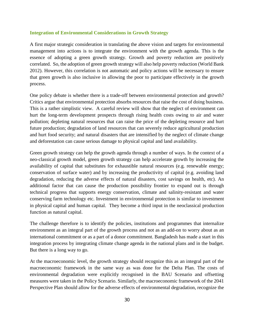#### <span id="page-41-0"></span>**Integration of Environmental Considerations in Growth Strategy**

A first major strategic consideration in translating the above vision and targets for environmental management into actions is to integrate the environment with the growth agenda. This is the essence of adopting a green growth strategy. Growth and poverty reduction are positively correlated. So, the adoption of green growth strategy will also help poverty reduction (World Bank 2012). However, this correlation is not automatic and policy actions will be necessary to ensure that green growth is also inclusive in allowing the poor to participate effectively in the growth process.

One policy debate is whether there is a trade-off between environmental protection and growth? Critics argue that environmental protection absorbs resources that raise the cost of doing business. This is a rather simplistic view. A careful review will show that the neglect of environment can hurt the long-term development prospects through rising health costs owing to air and water pollution; depleting natural resources that can raise the price of the depleting resource and hurt future production; degradation of land resources that can severely reduce agricultural production and hurt food security; and natural disasters that are intensified by the neglect of climate change and deforestation can cause serious damage to physical capital and land availability.

Green growth strategy can help the growth agenda through a number of ways. In the context of a neo-classical growth model, green growth strategy can help accelerate growth by increasing the availability of capital that substitutes for exhaustible natural resources (e.g. renewable energy; conservation of surface water) and by increasing the productivity of capital (e.g. avoiding land degradation, reducing the adverse effects of natural disasters, cost savings on health, etc). An additional factor that can cause the production possibility frontier to expand out is through technical progress that supports energy conservation, climate and salinity-resistant and water conserving farm technology etc. Investment in environmental protection is similar to investment in physical capital and human capital. They become a third input in the neoclassical production function as natural capital.

The challenge therefore is to identify the policies, institutions and programmes that internalize environment as an integral part of the growth process and not as an add-on to worry about as an international commitment or as a part of a donor commitment. Bangladesh has made a start in this integration process by integrating climate change agenda in the national plans and in the budget. But there is a long way to go.

At the macroeconomic level, the growth strategy should recognize this as an integral part of the macroeconomic framework in the same way as was done for the Delta Plan. The costs of environmental degradation were explicitly recognised in the BAU Scenario and offsetting measures were taken in the Policy Scenario. Similarly, the macroeconomic framework of the 2041 Perspective Plan should allow for the adverse effects of environmental degradation, recognize the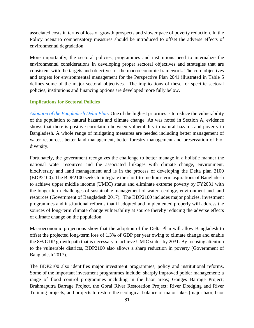associated costs in terms of loss of growth prospects and slower pace of poverty reduction. In the Policy Scenario compensatory measures should be introduced to offset the adverse effects of environmental degradation.

More importantly, the sectoral policies, programmes and institutions need to internalize the environmental considerations in developing proper sectoral objectives and strategies that are consistent with the targets and objectives of the macroeconomic framework. The core objectives and targets for environmental management for the Perspective Plan 2041 illustrated in Table 5 defines some of the major sectoral objectives. The implications of these for specific sectoral policies, institutions and financing options are developed more fully below.

#### <span id="page-42-0"></span>**Implications for Sectoral Policies**

*Adoption of the Bangladesh Delta Plan:* One of the highest priorities is to reduce the vulnerability of the population to natural hazards and climate change. As was noted in Section A, evidence shows that there is positive correlation between vulnerability to natural hazards and poverty in Bangladesh. A whole range of mitigating measures are needed including better management of water resources, better land management, better forestry management and preservation of biodiversity.

Fortunately, the government recognizes the challenge to better manage in a holistic manner the national water resources and the associated linkages with climate change, environment, biodiversity and land management and is in the process of developing the Delta plan 2100 (BDP2100). The BDP2100 seeks to integrate the short-to-medium-term aspirations of Bangladesh to achieve upper middle income (UMIC) status and eliminate extreme poverty by FY2031 with the longer-term challenges of sustainable management of water, ecology, environment and land resources (Government of Bangladesh 2017). The BDP2100 includes major policies, investment programmes and institutional reforms that if adopted and implemented properly will address the sources of long-term climate change vulnerability at source thereby reducing the adverse effects of climate change on the population.

Macroeconomic projections show that the adoption of the Delta Plan will allow Bangladesh to offset the projected long-term loss of 1.3% of GDP per year owing to climate change and enable the 8% GDP growth path that is necessary to achieve UMIC status by 2031. By focusing attention to the vulnerable districts, BDP2100 also allows a sharp reduction in poverty (Government of Bangladesh 2017).

The BDP2100 also identifies major investment programmes, policy and institutional reforms. Some of the important investment programmes include: sharply improved polder management; a range of flood control programmes including in the haor areas; Ganges Barrage Project; Brahmaputra Barrage Project, the Gorai River Restoration Project; River Dredging and River Training projects; and projects to restore the ecological balance of major lakes (major haor, baor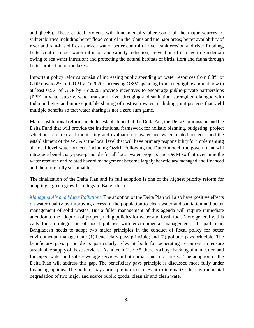and jheels). These critical projects will fundamentally alter some of the major sources of vulnerabilities including better flood control in the plains and the haor areas; better availability of river and rain-based fresh surface water; better control of river bank erosion and river flooding, better control of sea water intrusion and salinity reduction; prevention of damage to Sunderban owing to sea water intrusion; and protecting the natural habitats of birds, flora and fauna through better protection of the lakes.

Important policy reforms consist of increasing public spending on water resources from 0.8% of GDP now to 2% of GDP by FY2020; increasing O&M spending from a negligible amount now to at least 0.5% of GDP by FY2020; provide incentives to encourage public-private partnerships (PPP) in water supply, water transport, river dredging and sanitation; strengthen dialogue with India on better and more equitable sharing of upstream water including joint projects that yield multiple benefits so that water sharing is not a zero sum game.

Major institutional reforms include: establishment of the Delta Act, the Delta Commission and the Delta Fund that will provide the institutional framework for holistic planning, budgeting, project selection, research and monitoring and evaluation of water and water-related projects; and the establishment of the WUA at the local level that will have primary responsibility for implementing all local level water projects including O&M. Following the Dutch model, the government will introduce beneficiary-pays-principle for all local water projects and O&M so that over time the water resource and related hazard management become largely beneficiary managed and financed and therefore fully sustainable.

The finalization of the Delta Plan and its full adoption is one of the highest priority reform for adopting a green growth strategy in Bangladesh.

*Managing Air and Water Pollution:* The adoption of the Delta Plan will also have positive effects on water quality by improving access of the population to clean water and sanitation and better management of solid wastes. But a fuller management of this agenda will require immediate attention to the adoption of proper pricing policies for water and fossil fuel. More generally, this calls for an integration of fiscal policies with environmental management. In particular, Bangladesh needs to adopt two major principles in the conduct of fiscal policy for better environmental management: (1) beneficiary pays principle; and (2) polluter pays principle. The beneficiary pays principle is particularly relevant both for generating resources to ensure sustainable supply of these services. As noted in Table 5, there is a huge backlog of unmet demand for piped water and safe sewerage services in both urban and rural areas. The adoption of the Delta Plan will address this gap. The beneficiary pays principle is discussed more fully under financing options. The polluter pays principle is most relevant to internalize the environmental degradation of two major and scarce public goods: clean air and clean water.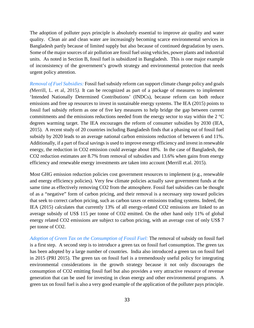The adoption of polluter pays principle is absolutely essential to improve air quality and water quality. Clean air and clean water are increasingly becoming scarce environmental services in Bangladesh partly because of limited supply but also because of continued degradation by users. Some of the major sources of air pollution are fossil fuel using vehicles, power plants and industrial units. As noted in Section B, fossil fuel is subsidized in Bangladesh. This is one major example of inconsistency of the government's growth strategy and environmental protection that needs urgent policy attention.

*Removal of Fuel Subsidies:* Fossil fuel subsidy reform can support climate change policy and goals *(*Merrill, L. et al, 2015*).* It can be recognized as part of a package of measures to implement 'Intended Nationally Determined Contributions' (INDCs), because reform can both reduce emissions and free up resources to invest in sustainable energy systems. The IEA (2015) points to fossil fuel subsidy reform as one of five key measures to help bridge the gap between current commitments and the emissions reductions needed from the energy sector to stay within the 2 °C degrees warming target. The IEA encourages the reform of consumer subsidies by 2030 (IEA, 2015). A recent study of 20 countries including Bangladesh finds that a phasing out of fossil fuel subsidy by 2020 leads to an average national carbon emissions reduction of between 6 and 11%. Additionally, if a part of fiscal savings is used to improve energy efficiency and invest in renewable energy, the reduction in CO2 emission could average about 18%. In the case of Bangladesh, the CO2 reduction estimates are 8.7% from removal of subsidies and 13.6% when gains from energy efficiency and renewable energy investments are taken into account (Merrill et.al. 2015).

Most GHG emission reduction policies cost government resources to implement (e.g., renewable and energy efficiency policies). Very few climate policies actually save government funds at the same time as effectively removing CO2 from the atmosphere. Fossil fuel subsidies can be thought of as a "negative" form of carbon pricing, and their removal is a necessary step toward policies that seek to correct carbon pricing, such as carbon taxes or emissions trading systems. Indeed, the IEA (2015) calculates that currently 13% of all energy-related CO2 emissions are linked to an average subsidy of US\$ 115 per tonne of CO2 emitted. On the other hand only 11% of global energy related CO2 emissions are subject to carbon pricing, with an average cost of only US\$ 7 per tonne of CO2.

*Adoption of Green Tax on the Consumption of Fossil Fuel:* The removal of subsidy on fossil fuel is a first step. A second step is to introduce a green tax on fossil fuel consumption. The green tax has been adopted by a large number of countries. India also introduced a green tax on fossil fuel in 2015 (PRI 2015). The green tax on fossil fuel is a tremendously useful policy for integrating environmental considerations in the growth strategy because it not only discourages the consumption of CO2 emitting fossil fuel but also provides a very attractive resource of revenue generation that can be used for investing in clean energy and other environmental programs. A green tax on fossil fuel is also a very good example of the application of the polluter pays principle.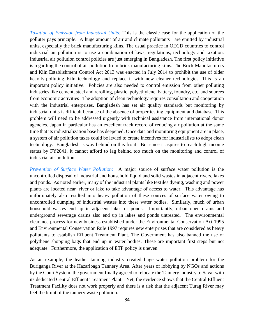*Taxation of Emission from Industrial Units:* This is the classic case for the application of the polluter pays principle. A huge amount of air and climate pollutants are emitted by industrial units, especially the brick manufacturing kilns. The usual practice in OECD countries to control industrial air pollution is to use a combination of laws, regulations, technology and taxation. Industrial air pollution control policies are just emerging in Bangladesh. The first policy initiative is regarding the control of air pollution from brick manufacturing kilns. The Brick Manufacturers and Kiln Establishment Control Act 2013 was enacted in July 2014 to prohibit the use of older heavily-polluting Kiln technology and replace it with new cleaner technologies. This is an important policy initiative. Policies are also needed to control emission from other polluting industries like cement, steel and rerolling, plastic, polyethylene, battery, foundry, etc. and sources from economic activities The adoption of clean technology requires consultation and cooperation with the industrial enterprises. Bangladesh has set air quality standards but monitoring by industrial units is difficult because of the absence of proper testing equipment and database. This problem will need to be addressed urgently with technical assistance from international donor agencies. Japan in particular has an excellent track record of reducing air pollution at the same time that its industrialization base has deepened. Once data and monitoring equipment are in place, a system of air pollution taxes could be levied to create incentives for industrialists to adopt clean technology. Bangladesh is way behind on this front. But since it aspires to reach high income status by FY2041, it cannot afford to lag behind too much on the monitoring and control of industrial air pollution.

*Prevention of Surface Water Pollution:* A major source of surface water pollution is the uncontrolled disposal of industrial and household liquid and solid wastes in adjacent rivers, lakes and ponds. As noted earlier, many of the industrial plants like textiles dyeing, washing and power plants are located near river or lake to take advantage of access to water. This advantage has unfortunately also resulted into heavy pollution of these sources of surface water owing to uncontrolled dumping of industrial wastes into these water bodies. Similarly, much of urban household wastes end up in adjacent lakes or ponds. Importantly, urban open drains and underground sewerage drains also end up in lakes and ponds untreated. The environmental clearance process for new business established under the Environmental Conservation Act 1995 and Environmental Conservation Rule 1997 requires new enterprises that are considered as heavy pollutants to establish Effluent Treatment Plant. The Government has also banned the use of polythene shopping bags that end up in water bodies. These are important first steps but not adequate. Furthermore, the application of ETP policy is uneven.

As an example, the leather tanning industry created huge water pollution problem for the Buriganga River at the Hazaribagh Tannery Area. After years of lobbying by NGOs and actions by the Court System, the government finally agreed to relocate the Tannery industry to Savar with its dedicated Central Effluent Treatment Plant. Yet, the evidence shows that the Central Effluent Treatment Facility does not work properly and there is a risk that the adjacent Turag River may feel the brunt of the tannery waste pollution.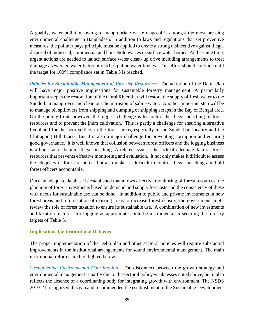Arguably, water pollution owing to inappropriate waste disposal is amongst the most pressing environmental challenge in Bangladesh. In addition to laws and regulations that set preventive measures, the polluter pays principle must be applied to create a strong disincentive against illegal disposal of industrial, commercial and household wastes in surface water bodies. At the same time, urgent actions are needed to launch surface water clean- up drive including arrangements to treat drainage / sewerage water before it reaches public water bodies. This effort should continue until the target for 100% compliance set in Table 5 is reached.

*Policies for Sustainable Management of Forestry Resources:* The adoption of the Delta Plan will have major positive implications for sustainable forestry management. A particularly important step is the restoration of the Gorai River that will restore the supply of fresh water to the Sunderban mangroves and clean out the intrusion of saline water. Another important step will be to manage oil spillovers from shipping and dumping of shipping scraps in the Bay of Bengal area. On the policy front, however, the biggest challenge is to control the illegal poaching of forest resources and to prevent the jhum cultivation. This is partly a challenge for ensuring alternative livelihood for the poor settlers in the forest areas, especially in the Sunderban locality and the Chittagong Hill Tracts. But it is also a major challenge for preventing corruption and ensuring good governance. It is well known that collusion between forest officers and the logging business is a huge factor behind illegal poaching. A related issue is the lack of adequate data on forest resources that prevents effective monitoring and evaluation. It not only makes it difficult to assess the adequacy of forest resources but also makes it difficult to control illegal poaching and hold forest officers accountable.

Once an adequate database is established that allows effective monitoring of forest resources, the planning of forest investments based on demand and supply forecasts and the consistency of these with needs for sustainable use can be done. In addition to public and private investments in new forest areas and reforestation of existing areas to increase forest density, the government might review the role of forest taxation to ensure its sustainable use. A combination of new investments and taxation of forest for logging as appropriate could be instrumental in securing the forestry targets of Table 5.

#### <span id="page-46-0"></span>**Implications for Institutional Reforms**

The proper implementation of the Delta plan and other sectoral policies will require substantial improvements in the institutional arrangements for sound environmental management. The main institutional reforms are highlighted below.

*Strengthening Environmental Coordination:* The disconnect between the growth strategy and environmental management is partly due to the sectoral policy weaknesses noted above, but it also reflects the absence of a coordinating body for integrating growth with environment. The NSDS 2010-21 recognized this gap and recommended the establishment of the Sustainable Development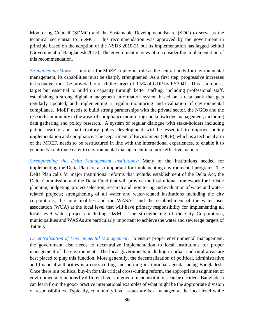Monitoring Council (SDMC) and the Sustainable Development Board (SDC) to serve as the technical secretariat to SDMC. This recommendation was approved by the government in principle based on the adoption of the NSDS 2010-21 but its implementation has lagged behind (Government of Bangladesh 2013). The government may want to consider the implementation of this recommendation.

*Strengthening MoEF:* In order for MoEF to play its role as the central body for environmental management, its capabilities must be sharply strengthened. As a first step, progressive increases in its budget must be provided to reach the target of 0.5% of GDP by FY2041. This is a modest target but essential to build up capacity through better staffing, including professional staff, establishing a strong digital management information system based on a data bank that gets regularly updated, and implementing a regular monitoring and evaluation of environmental compliance. MoEF needs to build strong partnerships with the private sector, the NGOs and the research community in the areas of compliance monitoring and knowledge management, including data gathering and policy research. A system of regular dialogue with stake-holders including public hearing and participatory policy development will be essential to improve policy implementation and compliance. The Department of Environment (DOE), which is a technical arm of the MOEF, needs to be restructured in line with the international experiences, to enable it to genuinely contribute cater to environmental management in a more effective manner.

*Strengthening the Delta Management Institutions:* Many of the institutions needed for implementing the Delta Plan are also important for implementing environmental programs. The Delta Plan calls for major institutional reforms that include: establishment of the Delta Act, the Delta Commission and the Delta Fund that will provide the institutional framework for holistic planning, budgeting, project selection, research and monitoring and evaluation of water and waterrelated projects; strengthening of all water and water-related institutions including the city corporations, the municipalities and the WASAs; and the establishment of the water user association (WUA) at the local level that will have primary responsibility for implementing all local level water projects including O&M. The strengthening of the City Corporations, municipalities and WASAs are particularly important to achieve the water and sewerage targets of Table 5.

*Decentralization of Environmental Management*: To ensure proper environmental management, the government also needs to decentralize implementation to local institutions for proper management of the environment. The local governments including in urban and rural areas are best placed to play this function. More generally, the decentralization of political, administrative and financial authorities is a cross-cutting and burning institutional agenda facing Bangladesh. Once there is a political buy-in for this critical cross-cutting reform, the appropriate assignment of environmental functions by different levels of government institutions can be decided. Bangladesh can learn from the good- practice international examples of what might be the appropriate division of responsibilities. Typically, community-level issues are best managed at the local level while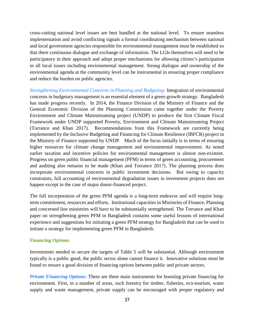cross-cutting national level issues are best handled at the national level. To ensure seamless implementation and avoid conflicting signals a formal coordinating mechanism between national and local government agencies responsible for environmental management must be established so that there continuous dialogue and exchange of information. The LGIs themselves will need to be participatory in their approach and adopt proper mechanisms for allowing citizen's participation in all local issues including environmental management. Strong dialogue and ownership of the environmental agenda at the community level can be instrumental in ensuring proper compliance and reduce the burden on public agencies.

*Strengthening Environmental Concerns in Planning and Budgeting:* Integration of environmental concerns in budgetary management is an essential element of a green growth strategy. Bangladesh has made progress recently. In 2014, the Finance Division of the Ministry of Finance and the General Economic Division of the Planning Commission came together under the Poverty Environment and Climate Mainstreaming project (UNDP) to produce the first Climate Fiscal Framework under UNDP supported Poverty, Environment and Climate Mainstreaming Project (Torrance and Khan 2017). Recommendations from this Framework are currently being implemented by the Inclusive Budgeting and Financing for Climate Resilience (IBFCR) project in the Ministry of Finance supported by UNDP. Much of the focus initially is in terms of ensuring higher resources for climate change management and environmental improvement. As noted earlier taxation and incentive policies for environmental management is almost non-existent. Progress on green public financial management (PFM) in terms of green accounting, procurement and auditing also remains to be made (Khan and Torrance 2017). The planning process does incorporate environmental concerns in public investment decisions. But owing to capacity constraints, full accounting of environmental degradation issues in investment projects does not happen except in the case of major donor-financed project.

The full incorporation of the green PFM agenda is a long-term endeavor and will require longterm commitment, resources and efforts. Institutional capacities in Ministries of Finance, Planning and concerned line ministries will have to be substantially strengthened. The Torrance and Khan paper on strengthening green PFM in Bangladesh contains some useful lessons of international experience and suggestions for initiating a green PFM strategy for Bangladesh that can be used to initiate a strategy for implementing green PFM in Bangladesh.

#### <span id="page-48-0"></span>**Financing Options**

Investments needed to secure the targets of Table 5 will be substantial. Although environment typically is a public good, the public sector alone cannot finance it. Innovative solutions must be found to ensure a good division of financing options between public and private sectors.

*Private Financing Options:* There are three main instruments for boosting private financing for environment. First, in a number of areas, such forestry for timber, fisheries, eco-tourism, water supply and waste management, private supply can be encouraged with proper regulatory and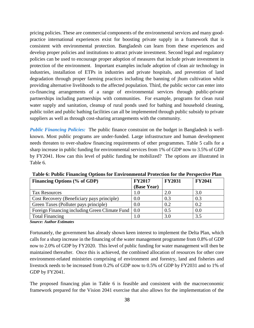pricing policies. These are commercial components of the environmental services and many goodpractice international experiences exist for boosting private supply in a framework that is consistent with environmental protection. Bangladesh can learn from these experiences and develop proper policies and institutions to attract private investment. Second legal and regulatory policies can be used to encourage proper adoption of measures that include private investment in protection of the environment. Important examples include adoption of clean air technology in industries, installation of ETPs in industries and private hospitals, and prevention of land degradation through proper farming practices including the banning of jhum cultivation while providing alternative livelihoods to the affected population. Third, the public sector can enter into co-financing arrangements of a range of environmental services through public-private partnerships including partnerships with communities. For example, programs for clean rural water supply and sanitation, cleanup of rural ponds used for bathing and household cleaning, public toilet and public bathing facilities can all be implemented through public subsidy to private suppliers as well as through cost-sharing arrangements with the community.

*Public Financing Policies:* The public finance constraint on the budget in Bangladesh is wellknown. Most public programs are under-funded. Large infrastructure and human development needs threaten to over-shadow financing requirements of other programmes. Table 5 calls for a sharp increase in public funding for environmental services from 1% of GDP now to 3.5% of GDP by FY2041. How can this level of public funding be mobilized? The options are illustrated in Table 6.

| Financing Options (% of GDP)                   | <b>FY2017</b> | <b>FY2031</b> | <b>FY2041</b> |
|------------------------------------------------|---------------|---------------|---------------|
|                                                | (Base Year)   |               |               |
| <b>Tax Resources</b>                           |               | 2.0           | 3.0           |
| Cost Recovery (Beneficiary pays principle)     | 0.0           | 0.3           | 0.3           |
| Green Taxes (Polluter pays principle)          | 0.0           | 0.2           | 0.2           |
| Foreign Financing including Green Climate Fund | 0.0           | 0.5           | 0.0           |
| <b>Total Financing</b>                         |               | 3.0           | 3.5           |

<span id="page-49-0"></span>**Table 6: Public Financing Options for Environmental Protection for the Perspective Plan**

*Source: Author Estimates*

Fortunately, the government has already shown keen interest to implement the Delta Plan, which calls for a sharp increase in the financing of the water management programme from 0.8% of GDP now to 2.0% of GDP by FY2020. This level of public funding for water management will then be maintained thereafter. Once this is achieved, the combined allocation of resources for other core environment-related ministries comprising of environment and forestry, land and fisheries and livestock needs to be increased from 0.2% of GDP now to 0.5% of GDP by FY2031 and to 1% of GDP by FY2041.

The proposed financing plan in Table 6 is feasible and consistent with the macroeconomic framework prepared for the Vision 2041 exercise that also allows for the implementation of the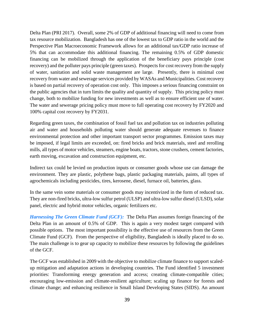Delta Plan (PRI 2017). Overall, some 2% of GDP of additional financing will need to come from tax resource mobilization. Bangladesh has one of the lowest tax to GDP ratio in the world and the Perspective Plan Macroeconomic Framework allows for an additional tax/GDP ratio increase of 5% that can accommodate this additional financing. The remaining 0.5% of GDP domestic financing can be mobilized through the application of the beneficiary pays principle (cost recovery) and the polluter pays principle (green taxes). Prospects for cost recovery from the supply of water, sanitation and solid waste management are large. Presently, there is minimal cost recovery from water and sewerage services provided by WASAs and Municipalities. Cost recovery is based on partial recovery of operation cost only. This imposes a serious financing constraint on the public agencies that in turn limits the quality and quantity of supply. This pricing policy must change, both to mobilize funding for new investments as well as to ensure efficient use of water. The water and sewerage pricing policy must move to full operating cost recovery by FY2020 and 100% capital cost recovery by FY2031.

Regarding green taxes, the combination of fossil fuel tax and pollution tax on industries polluting air and water and households polluting water should generate adequate revenues to finance environmental protection and other important transport sector programmes. Emission taxes may be imposed, if legal limits are exceeded, on: fired bricks and brick materials, steel and rerolling mills, all types of motor vehicles, steamers, engine boats, tractors, stone crushers, cement factories, earth moving, excavation and construction equipment, etc.

Indirect tax could be levied on production inputs or consumer goods whose use can damage the environment. They are plastic, polythene bags, plastic packaging materials, paints, all types of agrochemicals including pesticides, tires, kerosene, diesel, furnace oil, batteries, glass.

In the same vein some materials or consumer goods may incentivized in the form of reduced tax. They are non-fired bricks, ultra-low sulfur petrol (ULSP) and ultra-low sulfur diesel (ULSD), solar panel, electric and hybrid motor vehicles, organic fertilizers etc.

*Harnessing The Green Climate Fund (GCF):* The Delta Plan assumes foreign financing of the Delta Plan in an amount of 0.5% of GDP. This is again a very modest target compared with possible options. The most important possibility is the effective use of resources from the Green Climate Fund (GCF). From the perspective of eligibility, Bangladesh is ideally placed to do so. The main challenge is to gear up capacity to mobilize these resources by following the guidelines of the GCF.

The GCF was established in 2009 with the objective to mobilize climate finance to support scaledup mitigation and adaptation actions in developing countries. The Fund identified 5 investment priorities: Transforming energy generation and access; creating climate-compatible cities; encouraging low-emission and climate-resilient agriculture; scaling up finance for forests and climate change; and enhancing resilience in Small Island Developing States (SIDS). An amount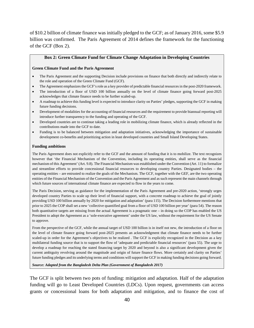of \$10.2 billion of climate finance was initially pledged to the GCF; as of January 2016, some \$5.9 billion was confirmed. The Paris Agreement of 2014 defines the framework for the functioning of the GCF (Box 2).

#### **Box 2: Green Climate Fund for Climate Change Adaptation in Developing Countries**

#### <span id="page-51-0"></span>**Green Climate Fund and the Paris Agreement**

- The Paris Agreement and the supporting Decision include provisions on finance that both directly and indirectly relate to the role and operation of the Green Climate Fund (GCF).
- The Agreement emphasizes the GCF's role as a key provider of predictable financial resources in the post-2020 framework.
- The introduction of a floor of USD 100 billion annually on the level of climate finance going forward post-2025 acknowledges that climate finance needs to be further scaled-up.
- A roadmap to achieve this funding level is expected to introduce clarity on Parties' pledges, supporting the GCF in making future funding decisions.
- Development of modalities for the accounting of financial resources and the requirement to provide biannual reporting will introduce further transparency to the funding and operating of the GCF.
- Developed countries are to continue taking a leading role in mobilizing climate finance, which is already reflected in the contributions made into the GCF to date.
- Funding is to be balanced between mitigation and adaptation initiatives, acknowledging the importance of sustainable development co-benefits and prioritizing action in least developed countries and Small Island Developing States.

#### **Funding ambitions**

The Paris Agreement does not explicitly refer to the GCF and the amount of funding that it is to mobilize. The text recognizes however that 'the Financial Mechanism of the Convention, including its operating entities, shall serve as the financial mechanism of this Agreement' (Art. 9.8). The Financial Mechanism was established under the Convention (Art. 11) to formalize and streamline efforts to provide concessional financial resources to developing country Parties. Designated bodies – the operating entities – are entrusted to realize the goals of the Mechanism. The GCF, together with the GEF, are the two operating entities of the Financial Mechanism of the Convention and the Paris Agreement and as such represent the main channels through which future sources of international climate finance are expected to flow in the years to come.

The Paris Decision, serving as guidance for the implementation of the Paris Agreement and pre-2020 action, 'strongly urges developed country Parties to scale up their level of financial support, with a concrete roadmap to achieve the goal of jointly providing USD 100 billion annually by 2020 for mitigation and adaptation' (para 115). The Decision furthermore mentions that prior to 2025 the COP shall set a new 'collective quantified goal from a floor of USD 100 billion per year' (para 54). The reason both quantitative targets are missing from the actual Agreement is a pragmatic one – in doing so the COP has enabled the US President to adopt the Agreement as a 'sole-executive agreement' under the US law, without the requirement for the US Senate to approve.

From the perspective of the GCF, while the annual target of USD 100 billion is in itself not new, the introduction of a floor on the level of climate finance going forward post-2025 presents an acknowledgment that climate finance needs to be further scaled-up in order for the Agreement's objectives to be realized . The GCF is explicitly recognized in the Decision as a key multilateral funding source that is to support the flow of 'adequate and predictable financial resources' (para 55). The urge to develop a roadmap for reaching the stated financing target by 2020 and beyond is also a significant development given the current ambiguity revolving around the magnitude and origin of future finance flows. More certainly and clarity on Parties' future funding pledges and its underlying terms and conditions will support the GCF in making funding decisions going forward.

*Source: Adapted from the Bangladesh Delta Plan (Government of Bangladesh 2017)* 

The GCF is split between two pots of funding: mitigation and adaptation. Half of the adaptation funding will go to Least Developed Countries (LDCs). Upon request, governments can access grants or concessional loans for both adaptation and mitigation, and to finance the cost of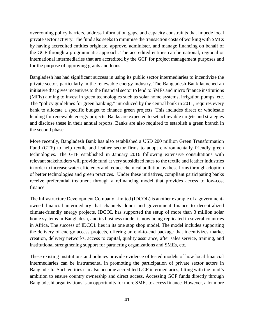overcoming policy barriers, address information gaps, and capacity constraints that impede local private sector activity. The fund also seeks to minimise the transaction costs of working with SMEs by having accredited entities originate, approve, administer, and manage financing on behalf of the GCF through a programmatic approach. The accredited entities can be national, regional or international intermediaries that are accredited by the GCF for project management purposes and for the purpose of approving grants and loans.

Bangladesh has had significant success in using its public sector intermediaries to incentivize the private sector, particularly in the renewable energy industry. The Bangladesh Bank launched an initiative that gives incentives to the financial sector to lend to SMEs and micro finance institutions (MFIs) aiming to invest in green technologies such as solar home systems, irrigation pumps, etc. The "policy guidelines for green banking," introduced by the central bank in 2011, requires every bank to allocate a specific budget to finance green projects. This includes direct or wholesale lending for renewable energy projects. Banks are expected to set achievable targets and strategies and disclose these in their annual reports. Banks are also required to establish a green branch in the second phase.

More recently, Bangladesh Bank has also established a USD 200 million Green Transformation Fund (GTF) to help textile and leather sector firms to adopt environmentally friendly green technologies. The GTF established in January 2016 following extensive consultations with relevant stakeholders will provide fund at very subsidized rates to the textile and leather industries in order to increase water efficiency and reduce chemical pollution by these firms through adoption of better technologies and green practices. Under these initiatives, compliant participating banks receive preferential treatment through a refinancing model that provides access to low-cost finance.

The Infrastructure Development Company Limited (IDCOL) is another example of a governmentowned financial intermediary that channels donor and government finance to decentralized climate-friendly energy projects. IDCOL has supported the setup of more than 3 million solar home systems in Bangladesh, and its business model is now being replicated in several countries in Africa. The success of IDCOL lies in its one stop shop model. The model includes supporting the delivery of energy access projects, offering an end-to-end package that incentivizes market creation, delivery networks, access to capital, quality assurance, after sales service, training, and institutional strengthening support for partnering organizations and SMEs, etc.

These existing institutions and policies provide evidence of tested models of how local financial intermediaries can be instrumental in promoting the participation of private sector actors in Bangladesh. Such entities can also become accredited GCF intermediaries, fitting with the fund's ambition to ensure country ownership and direct access. Accessing GCF funds directly through Bangladeshi organizations is an opportunity for more SMEs to access finance. However, a lot more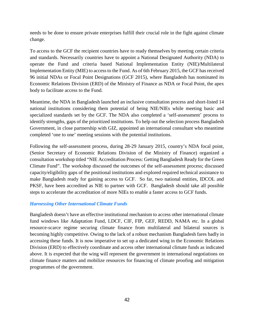needs to be done to ensure private enterprises fulfill their crucial role in the fight against climate change.

To access to the GCF the recipient countries have to ready themselves by meeting certain criteria and standards. Necessarily countries have to appoint a National Designated Authority (NDA) to operate the Fund and criteria based National Implementation Entity (NIE)/Multilateral Implementation Entity (MIE) to access to the Fund. As of 6th February 2015, the GCF has received 96 initial NDAs or Focal Point Designations (GCF 2015), where Bangladesh has nominated its Economic Relations Division (ERD) of the Ministry of Finance as NDA or Focal Point, the apex body to facilitate access to the Fund.

Meantime, the NDA in Bangladesh launched an inclusive consultation process and short-listed 14 national institutions considering them potential of being NIE/NIEs while meeting basic and specialized standards set by the GCF. The NDA also completed a 'self-assessment' process to identify strengths, gaps of the prioritized institutions. To help out the selection process Bangladesh Government, in close partnership with GIZ, appointed an international consultant who meantime completed 'one to one' meeting sessions with the potential institutions.

Following the self-assessment process, during 28-29 January 2015, country's NDA focal point, (Senior Secretary of Economic Relations Division of the Ministry of Finance) organized a consultation workshop titled "NIE Accreditation Process: Getting Bangladesh Ready for the Green Climate Fund". The workshop discussed the outcomes of the self-assessment process; discussed capacity/eligibility gaps of the positional institutions and explored required technical assistance to make Bangladesh ready for gaining access to GCF. So far, two national entities, IDCOL and PKSF, have been accredited as NIE to partner with GCF. Bangladesh should take all possible steps to accelerate the accreditation of more NIEs to enable a faster access to GCF funds.

#### *Harnessing Other International Climate Funds*

Bangladesh doesn't have an effective institutional mechanism to access other international climate fund windows like Adaptation Fund, LDCF, CIF, FIP, GEF, REDD, NAMA etc. In a global resource-scarce regime securing climate finance from multilateral and bilateral sources is becoming highly competitive. Owing to the lack of a robust mechanism Bangladesh fares badly in accessing these funds. It is now imperative to set up a dedicated wing in the Economic Relations Division (ERD) to effectively coordinate and access other international climate funds as indicated above. It is expected that the wing will represent the government in international negotiations on climate finance matters and mobilize resources for financing of climate proofing and mitigation programmes of the government.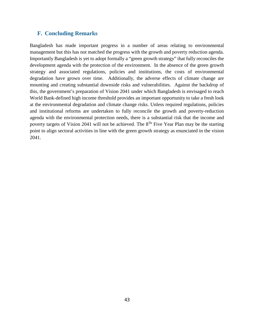#### <span id="page-54-0"></span>**F. Concluding Remarks**

Bangladesh has made important progress in a number of areas relating to environmental management but this has not matched the progress with the growth and poverty reduction agenda. Importantly Bangladesh is yet to adopt formally a "green growth strategy" that fully reconciles the development agenda with the protection of the environment. In the absence of the green growth strategy and associated regulations, policies and institutions, the costs of environmental degradation have grown over time. Additionally, the adverse effects of climate change are mounting and creating substantial downside risks and vulnerabilities. Against the backdrop of this, the government's preparation of Vision 2041 under which Bangladesh is envisaged to reach World Bank-defined high income threshold provides an important opportunity to take a fresh look at the environmental degradation and climate change risks. Unless required regulations, policies and institutional reforms are undertaken to fully reconcile the growth and poverty-reduction agenda with the environmental protection needs, there is a substantial risk that the income and poverty targets of Vision 2041 will not be achieved. The  $8^{Th}$  Five Year Plan may be the starting point to align sectoral activities in line with the green growth strategy as enunciated in the vision 2041.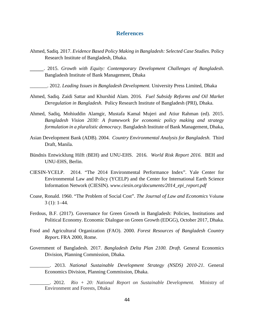#### **References**

- <span id="page-55-0"></span>Ahmed, Sadiq. 2017. *Evidence Based Policy Making in Bangladesh: Selected Case Studies.* Policy Research Institute of Bangladesh, Dhaka.
	- \_\_\_\_\_\_. 2015. *Growth with Equity: Contemporary Development Challenges of Bangladesh*. Bangladesh Institute of Bank Management, Dhaka
		- \_\_\_\_\_\_\_. 2012. *Leading Issues in Bangladesh Development.* University Press Limited, Dhaka
- Ahmed, Sadiq. Zaidi Sattar and Khurshid Alam. 2016*. Fuel Subsidy Reforms and Oil Market Deregulation in Bangladesh.* Policy Research Institute of Bangladesh (PRI), Dhaka.
- Ahmed, Sadiq, Mohiuddin Alamgir, Mustafa Kamal Mujeri and Atiur Rahman (ed). 2015. *Bangladesh Vision 2030: A framework for economic policy making and strategy formulation in a pluralistic democracy.* Bangladesh Institute of Bank Management, Dhaka,
- Asian Development Bank (ADB). 2004. *Country Environmental Analysis for Bangladesh*. Third Draft, Manila.
- Bündnis Entwicklung Hilft (BEH) and UNU-EHS. 2016. *World Risk Report 2016*. BEH and UNU-EHS, Berlin.
- CIESIN-YCELP. 2014. "The 2014 Environmental Performance Index". Yale Center for Environmental Law and Policy (YCELP) and the Center for International Earth Science Information Network (CIESIN). *www.ciesin.org/documents/2014\_epi\_report.pdf*
- Coase, Ronald. 1960. "The Problem of Social Cost". *The Journal of Law and Economics* Volume 3 (1): 1–44.*Growth in Bangladesh: Policies, Institutions, and Political Economy,*
- Ferdous, B.F. (2017). Governance for Green Growth in Bangladesh: Policies, Institutions and Political Economy. Economic Dialogue on Green Growth (EDGG), October 2017, Dhaka.
- Food and Agricultural Organization (FAO). 2000. *Forest Resources of Bangladesh Country Report***.** FRA 2000, Rome.
- Government of Bangladesh. 2017. *Bangladesh Delta Plan 2100. Draft.* General Economics Division, Planning Commission, Dhaka.
	- \_\_\_\_\_\_\_\_. 2013. *National Sustainable Development Strategy (NSDS) 2010-21*. General Economics Division, Planning Commission, Dhaka.
	- \_\_\_\_\_\_\_\_. 2012. *Rio + 20: National Report on Sustainable Development.* Ministry of Environment and Forests, Dhaka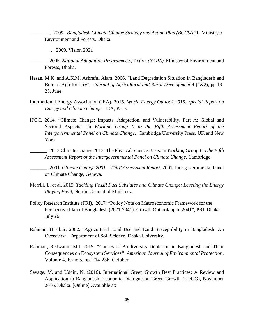\_\_\_\_\_\_\_\_. 2009. *Bangladesh Climate Change Strategy and Action Plan (BCCSAP).* Ministry of Environment and Forests, Dhaka.

\_\_\_\_\_\_\_\_ . 2009. Vision 2021

\_\_\_\_\_\_\_. 2005. *National Adaptation Programme of Action (NAPA).* Ministry of Environment and Forests, Dhaka.

- Hasan, M.K. and A.K.M. Ashraful Alam. 2006. "Land Degradation Situation in Bangladesh and Role of Agroforestry". *Journal of Agricultural and Rural Development* 4 (1&2), pp 19- 25, June.
- International Energy Association (IEA). 2015. *World Energy Outlook 2015: Special Report on Energy and Climate Change.* IEA, Paris*.*
- IPCC. 2014. "Climate Change: Impacts, Adaptation, and Vulnerability. Part A: Global and Sectoral Aspects". In *Working Group II to the Fifth Assessment Report of the Intergovernmental Panel on Climate Change*. Cambridge University Press, UK and New York.

\_\_\_\_\_\_\_. 2013 Climate Change 2013: The Physical Science Basis. In *Working Group I to the Fifth Assessment Report of the Intergovernmental Panel on Climate Change*. Cambridge.

\_\_\_\_\_\_\_. 2001. *Climate Change 2001 – Third Assessment Report*. 2001. Intergovernmental Panel on Climate Change, Geneva.

- Merrill, L. et al. 2015. *Tackling Fossil Fuel Subsidies and Climate Change: Leveling the Energy Playing Field*, Nordic Council of Ministers.
- Policy Research Institute (PRI). 2017. "Policy Note on Macroeconomic Framework for the Perspective Plan of Bangladesh (2021-2041): Growth Outlook up to 2041", PRI, Dhaka. July 26.
- Rahman, Hasibur. 2002. "Agricultural Land Use and Land Susceptibility in Bangladesh: An Overview". Department of Soil Science, Dhaka University.
- Rahman, Redwanur Md. 2015. **"**Causes of Biodiversity Depletion in Bangladesh and Their Consequences on Ecosystem Services*". American Journal of Environmental Protection*, Volume 4, Issue 5, pp. 214-236, October.
- Savage, M. and Uddin, N. (2016). International Green Growth Best Practices: A Review and Application to Bangladesh. Economic Dialogue on Green Growth (EDGG), November 2016, Dhaka. [Online] Available at: